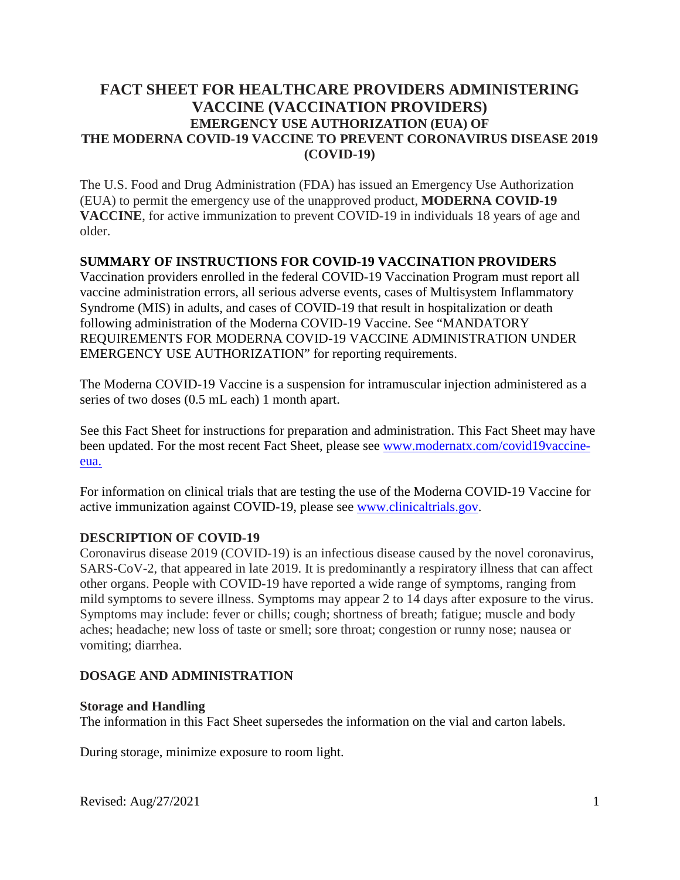# **FACT SHEET FOR HEALTHCARE PROVIDERS ADMINISTERING VACCINE (VACCINATION PROVIDERS) EMERGENCY USE AUTHORIZATION (EUA) OF THE MODERNA COVID-19 VACCINE TO PREVENT CORONAVIRUS DISEASE 2019 (COVID-19)**

The U.S. Food and Drug Administration (FDA) has issued an Emergency Use Authorization (EUA) to permit the emergency use of the unapproved product, **MODERNA COVID-19 VACCINE**, for active immunization to prevent COVID-19 in individuals 18 years of age and older.

#### **SUMMARY OF INSTRUCTIONS FOR COVID-19 VACCINATION PROVIDERS**

Vaccination providers enrolled in the federal COVID-19 Vaccination Program must report all vaccine administration errors, all serious adverse events, cases of Multisystem Inflammatory Syndrome (MIS) in adults, and cases of COVID-19 that result in hospitalization or death following administration of the Moderna COVID-19 Vaccine. See "MANDATORY REQUIREMENTS FOR MODERNA COVID-19 VACCINE ADMINISTRATION UNDER EMERGENCY USE [AUTHORIZATION"](#page-4-0) for reporting requirements.

The Moderna COVID-19 Vaccine is a suspension for intramuscular injection administered as a series of two doses (0.5 mL each) 1 month apart.

See this Fact Sheet for instructions for preparation and administration. This Fact Sheet may have been updated. For the most recent Fact Sheet, please see www.modernatx.com/covid19vaccineeua.

For information on clinical trials that are testing the use of the Moderna COVID-19 Vaccine for active immunization against COVID-19, please see www.clinicaltrials.gov.

## **DESCRIPTION OF COVID-19**

Coronavirus disease 2019 (COVID-19) is an infectious disease caused by the novel coronavirus, SARS-CoV-2, that appeared in late 2019. It is predominantly a respiratory illness that can affect other organs. People with COVID-19 have reported a wide range of symptoms, ranging from mild symptoms to severe illness. Symptoms may appear 2 to 14 days after exposure to the virus. Symptoms may include: fever or chills; cough; shortness of breath; fatigue; muscle and body aches; headache; new loss of taste or smell; sore throat; congestion or runny nose; nausea or vomiting; diarrhea.

## **DOSAGE AND ADMINISTRATION**

#### **Storage and Handling**

The information in this Fact Sheet supersedes the information on the vial and carton labels.

During storage, minimize exposure to room light.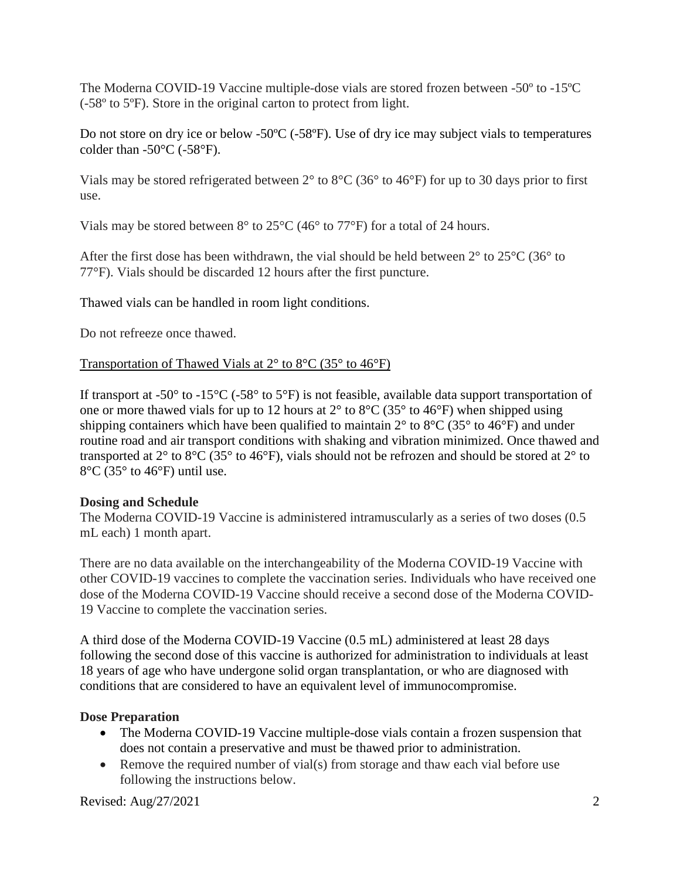The Moderna COVID-19 Vaccine multiple-dose vials are stored frozen between -50º to -15ºC (-58º to 5ºF). Store in the original carton to protect from light.

Do not store on dry ice or below -50ºC (-58ºF). Use of dry ice may subject vials to temperatures colder than  $-50^{\circ}$ C ( $-58^{\circ}$ F).

Vials may be stored refrigerated between 2° to 8°C (36° to 46°F) for up to 30 days prior to first use.

Vials may be stored between  $8^{\circ}$  to  $25^{\circ}$ C (46 $^{\circ}$  to 77 $^{\circ}$ F) for a total of 24 hours.

After the first dose has been withdrawn, the vial should be held between 2° to 25°C (36° to 77°F). Vials should be discarded 12 hours after the first puncture.

Thawed vials can be handled in room light conditions.

Do not refreeze once thawed.

## Transportation of Thawed Vials at 2° to 8°C (35° to 46°F)

If transport at -50 $^{\circ}$  to -15 $^{\circ}$ C (-58 $^{\circ}$  to 5 $^{\circ}$ F) is not feasible, available data support transportation of one or more thawed vials for up to 12 hours at  $2^{\circ}$  to  $8^{\circ}$ C (35° to 46°F) when shipped using shipping containers which have been qualified to maintain  $2^{\circ}$  to  $8^{\circ}$ C (35° to 46°F) and under routine road and air transport conditions with shaking and vibration minimized. Once thawed and transported at  $2^{\circ}$  to  $8^{\circ}$ C (35° to 46°F), vials should not be refrozen and should be stored at  $2^{\circ}$  to 8°C (35° to 46°F) until use.

## **Dosing and Schedule**

The Moderna COVID-19 Vaccine is administered intramuscularly as a series of two doses (0.5 mL each) 1 month apart.

There are no data available on the interchangeability of the Moderna COVID-19 Vaccine with other COVID-19 vaccines to complete the vaccination series. Individuals who have received one dose of the Moderna COVID-19 Vaccine should receive a second dose of the Moderna COVID-19 Vaccine to complete the vaccination series.

A third dose of the Moderna COVID-19 Vaccine (0.5 mL) administered at least 28 days following the second dose of this vaccine is authorized for administration to individuals at least 18 years of age who have undergone solid organ transplantation, or who are diagnosed with conditions that are considered to have an equivalent level of immunocompromise.

## **Dose Preparation**

- The Moderna COVID-19 Vaccine multiple-dose vials contain a frozen suspension that does not contain a preservative and must be thawed prior to administration.
- Remove the required number of vial(s) from storage and thaw each vial before use following the instructions below.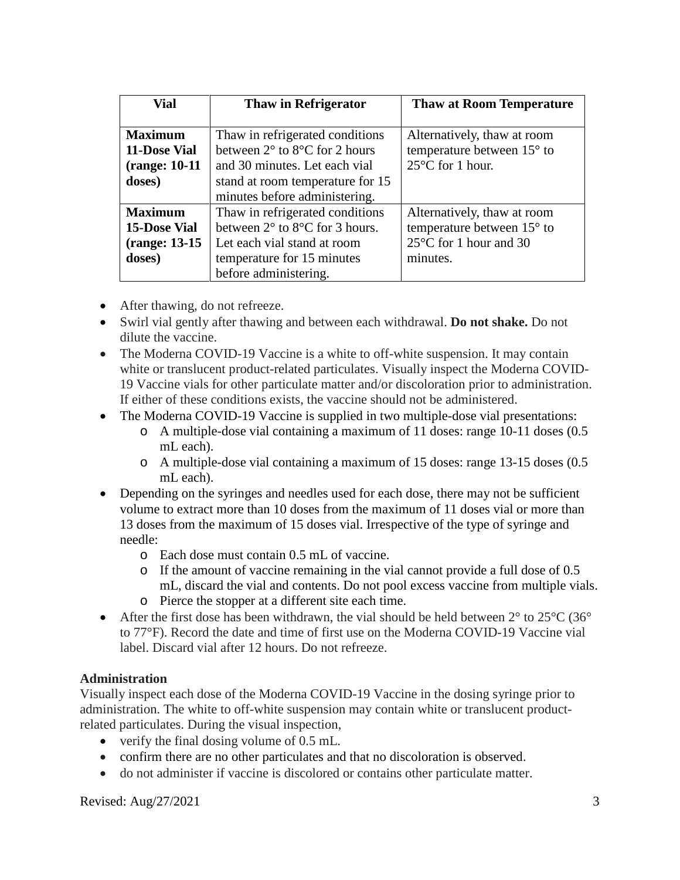| <b>Vial</b>                                   | <b>Thaw in Refrigerator</b>                       | <b>Thaw at Room Temperature</b> |
|-----------------------------------------------|---------------------------------------------------|---------------------------------|
|                                               |                                                   |                                 |
| <b>Maximum</b>                                | Thaw in refrigerated conditions                   | Alternatively, thaw at room     |
| 11-Dose Vial                                  | between $2^{\circ}$ to $8^{\circ}$ C for 2 hours  | temperature between 15° to      |
| (range: 10-11)                                | and 30 minutes. Let each vial                     | $25^{\circ}$ C for 1 hour.      |
| doses)                                        | stand at room temperature for 15                  |                                 |
|                                               | minutes before administering.                     |                                 |
| <b>Maximum</b>                                | Thaw in refrigerated conditions                   | Alternatively, thaw at room     |
| <b>15-Dose Vial</b>                           | between $2^{\circ}$ to $8^{\circ}$ C for 3 hours. | temperature between 15° to      |
| (range: 13-15)<br>Let each vial stand at room |                                                   | 25°C for 1 hour and 30          |
| doses)                                        | temperature for 15 minutes                        | minutes.                        |
|                                               | before administering.                             |                                 |

- After thawing, do not refreeze.
- Swirl vial gently after thawing and between each withdrawal. **Do not shake.** Do not dilute the vaccine.
- The Moderna COVID-19 Vaccine is a white to off-white suspension. It may contain white or translucent product-related particulates. Visually inspect the Moderna COVID-19 Vaccine vials for other particulate matter and/or discoloration prior to administration. If either of these conditions exists, the vaccine should not be administered.
- The Moderna COVID-19 Vaccine is supplied in two multiple-dose vial presentations:
	- o A multiple-dose vial containing a maximum of 11 doses: range 10-11 doses (0.5 mL each).
	- o A multiple-dose vial containing a maximum of 15 doses: range 13-15 doses (0.5 mL each).
- Depending on the syringes and needles used for each dose, there may not be sufficient volume to extract more than 10 doses from the maximum of 11 doses vial or more than 13 doses from the maximum of 15 doses vial. Irrespective of the type of syringe and needle:
	- o Each dose must contain 0.5 mL of vaccine.
	- o If the amount of vaccine remaining in the vial cannot provide a full dose of 0.5 mL, discard the vial and contents. Do not pool excess vaccine from multiple vials.
	- o Pierce the stopper at a different site each time.
- After the first dose has been withdrawn, the vial should be held between  $2^{\circ}$  to  $25^{\circ}$ C (36° to 77°F). Record the date and time of first use on the Moderna COVID-19 Vaccine vial label. Discard vial after 12 hours. Do not refreeze.

## **Administration**

Visually inspect each dose of the Moderna COVID-19 Vaccine in the dosing syringe prior to administration. The white to off-white suspension may contain white or translucent productrelated particulates. During the visual inspection,

- verify the final dosing volume of 0.5 mL.
- confirm there are no other particulates and that no discoloration is observed.
- do not administer if vaccine is discolored or contains other particulate matter.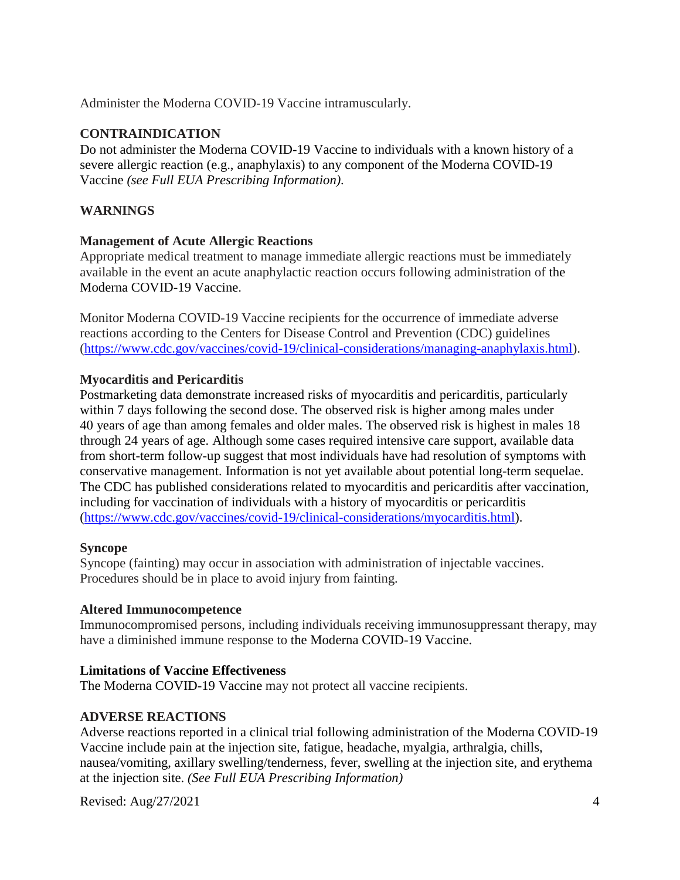Administer the Moderna COVID-19 Vaccine intramuscularly.

## **CONTRAINDICATION**

Do not administer the Moderna COVID-19 Vaccine to individuals with a known history of a severe allergic reaction (e.g., anaphylaxis) to any component of the Moderna COVID-19 Vaccine *(see Full EUA Prescribing Information)*.

# **WARNINGS**

## **Management of Acute Allergic Reactions**

Appropriate medical treatment to manage immediate allergic reactions must be immediately available in the event an acute anaphylactic reaction occurs following administration of the Moderna COVID-19 Vaccine.

Monitor Moderna COVID-19 Vaccine recipients for the occurrence of immediate adverse reactions according to the Centers for Disease Control and Prevention (CDC) guidelines (https://www.cdc.gov/vaccines/covid-19/clinical-considerations/managing-anaphylaxis.html).

## **Myocarditis and Pericarditis**

Postmarketing data demonstrate increased risks of myocarditis and pericarditis, particularly within 7 days following the second dose. The observed risk is higher among males under 40 years of age than among females and older males. The observed risk is highest in males 18 through 24 years of age. Although some cases required intensive care support, available data from short-term follow-up suggest that most individuals have had resolution of symptoms with conservative management. Information is not yet available about potential long-term sequelae. The CDC has published considerations related to myocarditis and pericarditis after vaccination, including for vaccination of individuals with a history of myocarditis or pericarditis (https://www.cdc.gov/vaccines/covid-19/clinical-considerations/myocarditis.html).

## **Syncope**

Syncope (fainting) may occur in association with administration of injectable vaccines. Procedures should be in place to avoid injury from fainting.

## **Altered Immunocompetence**

Immunocompromised persons, including individuals receiving immunosuppressant therapy, may have a diminished immune response to the Moderna COVID-19 Vaccine.

## **Limitations of Vaccine Effectiveness**

The Moderna COVID-19 Vaccine may not protect all vaccine recipients.

## **ADVERSE REACTIONS**

Adverse reactions reported in a clinical trial following administration of the Moderna COVID-19 Vaccine include pain at the injection site, fatigue, headache, myalgia, arthralgia, chills, nausea/vomiting, axillary swelling/tenderness, fever, swelling at the injection site, and erythema at the injection site. *(See Full EUA Prescribing Information)*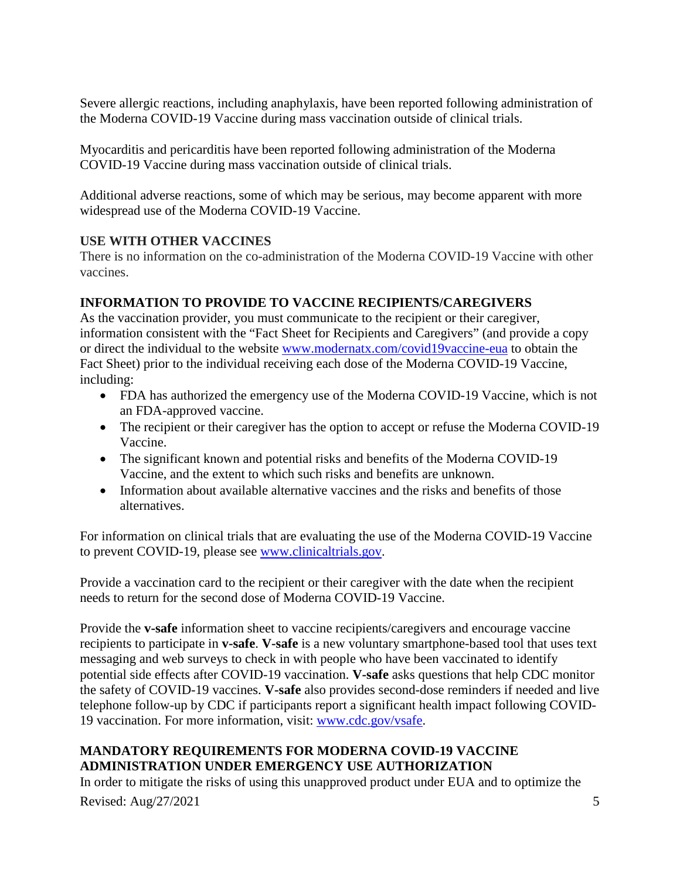Severe allergic reactions, including anaphylaxis, have been reported following administration of the Moderna COVID-19 Vaccine during mass vaccination outside of clinical trials.

Myocarditis and pericarditis have been reported following administration of the Moderna COVID-19 Vaccine during mass vaccination outside of clinical trials.

Additional adverse reactions, some of which may be serious, may become apparent with more widespread use of the Moderna COVID-19 Vaccine.

# **USE WITH OTHER VACCINES**

There is no information on the co-administration of the Moderna COVID-19 Vaccine with other vaccines.

# **INFORMATION TO PROVIDE TO VACCINE RECIPIENTS/CAREGIVERS**

As the vaccination provider, you must communicate to the recipient or their caregiver, information consistent with the "Fact Sheet for Recipients and Caregivers" (and provide a copy or direct the individual to the website www.modernatx.com/covid19vaccine-eua to obtain the Fact Sheet) prior to the individual receiving each dose of the Moderna COVID-19 Vaccine, including:

- FDA has authorized the emergency use of the Moderna COVID-19 Vaccine, which is not an FDA-approved vaccine.
- The recipient or their caregiver has the option to accept or refuse the Moderna COVID-19 Vaccine.
- The significant known and potential risks and benefits of the Moderna COVID-19 Vaccine, and the extent to which such risks and benefits are unknown.
- Information about available alternative vaccines and the risks and benefits of those alternatives.

<span id="page-4-0"></span>For information on clinical trials that are evaluating the use of the Moderna COVID-19 Vaccine to prevent COVID-19, please see www.clinicaltrials.gov.

Provide a vaccination card to the recipient or their caregiver with the date when the recipient needs to return for the second dose of Moderna COVID-19 Vaccine.

Provide the **v-safe** information sheet to vaccine recipients/caregivers and encourage vaccine recipients to participate in **v-safe**. **V-safe** is a new voluntary smartphone-based tool that uses text messaging and web surveys to check in with people who have been vaccinated to identify potential side effects after COVID-19 vaccination. **V-safe** asks questions that help CDC monitor the safety of COVID-19 vaccines. **V-safe** also provides second-dose reminders if needed and live telephone follow-up by CDC if participants report a significant health impact following COVID-19 vaccination. For more information, visit: www.cdc.gov/vsafe.

# **MANDATORY REQUIREMENTS FOR MODERNA COVID-19 VACCINE ADMINISTRATION UNDER EMERGENCY USE AUTHORIZATION**

In order to mitigate the risks of using this unapproved product under EUA and to optimize the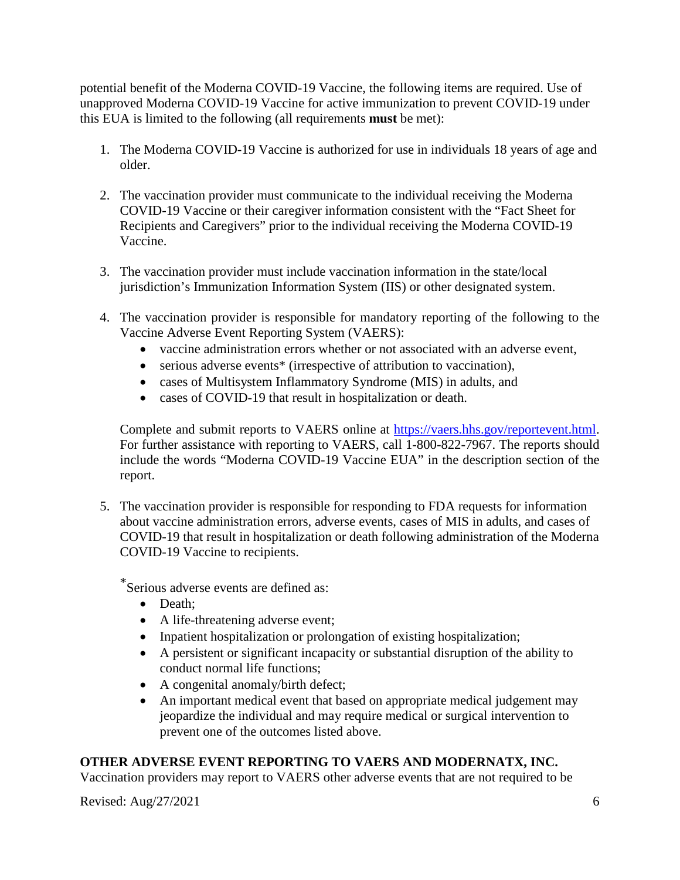potential benefit of the Moderna COVID-19 Vaccine, the following items are required. Use of unapproved Moderna COVID-19 Vaccine for active immunization to prevent COVID-19 under this EUA is limited to the following (all requirements **must** be met):

- 1. The Moderna COVID-19 Vaccine is authorized for use in individuals 18 years of age and older.
- 2. The vaccination provider must communicate to the individual receiving the Moderna COVID-19 Vaccine or their caregiver information consistent with the "Fact Sheet for Recipients and Caregivers" prior to the individual receiving the Moderna COVID-19 Vaccine.
- 3. The vaccination provider must include vaccination information in the state/local jurisdiction's Immunization Information System (IIS) or other designated system.
- 4. The vaccination provider is responsible for mandatory reporting of the following to the Vaccine Adverse Event Reporting System (VAERS):
	- vaccine administration errors whether or not associated with an adverse event,
	- serious adverse events<sup>\*</sup> (irrespective of attribution to vaccination),
	- cases of Multisystem Inflammatory Syndrome (MIS) in adults, and
	- cases of COVID-19 that result in hospitalization or death.

Complete and submit reports to VAERS online at https://vaers.hhs.gov/reportevent.html. For further assistance with reporting to VAERS, call 1-800-822-7967. The reports should include the words "Moderna COVID-19 Vaccine EUA" in the description section of the report.

5. The vaccination provider is responsible for responding to FDA requests for information about vaccine administration errors, adverse events, cases of MIS in adults, and cases of COVID-19 that result in hospitalization or death following administration of the Moderna COVID-19 Vaccine to recipients.

\*Serious adverse events are defined as:

- Death:
- A life-threatening adverse event;
- Inpatient hospitalization or prolongation of existing hospitalization;
- A persistent or significant incapacity or substantial disruption of the ability to conduct normal life functions;
- A congenital anomaly/birth defect;
- An important medical event that based on appropriate medical judgement may jeopardize the individual and may require medical or surgical intervention to prevent one of the outcomes listed above.

# **OTHER ADVERSE EVENT REPORTING TO VAERS AND MODERNATX, INC.**

Vaccination providers may report to VAERS other adverse events that are not required to be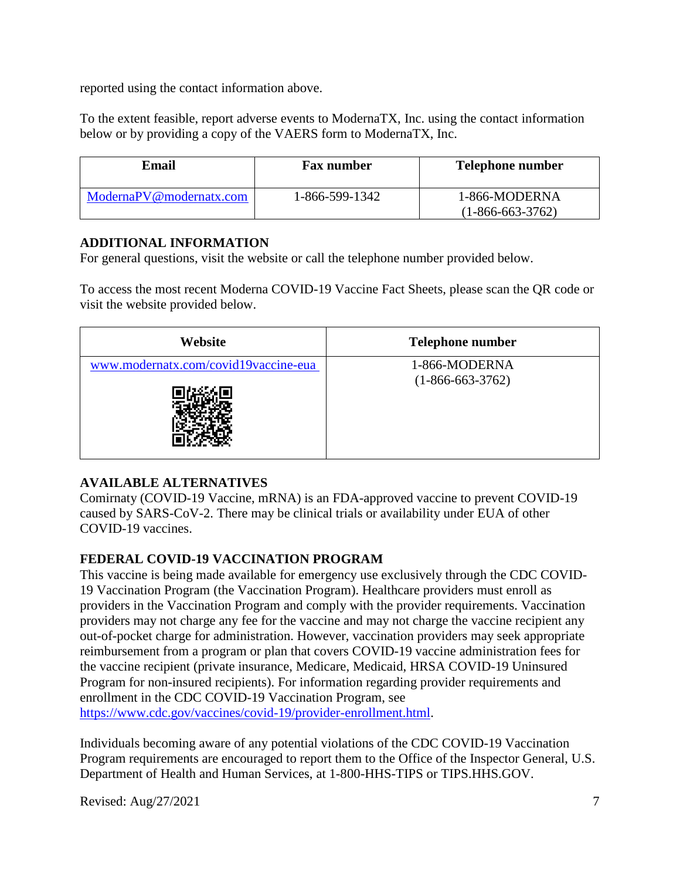reported using the contact information above.

To the extent feasible, report adverse events to ModernaTX, Inc. using the contact information below or by providing a copy of the VAERS form to ModernaTX, Inc.

| Email                   | <b>Fax number</b> | <b>Telephone number</b>             |
|-------------------------|-------------------|-------------------------------------|
| ModernaPV@modernatx.com | 1-866-599-1342    | 1-866-MODERNA<br>$(1-866-663-3762)$ |

#### **ADDITIONAL INFORMATION**

For general questions, visit the website or call the telephone number provided below.

To access the most recent Moderna COVID-19 Vaccine Fact Sheets, please scan the QR code or visit the website provided below.

| Website                              | <b>Telephone number</b> |
|--------------------------------------|-------------------------|
| www.modernatx.com/covid19vaccine-eua | 1-866-MODERNA           |
|                                      | $(1-866-663-3762)$      |

# **AVAILABLE ALTERNATIVES**

Comirnaty (COVID-19 Vaccine, mRNA) is an FDA-approved vaccine to prevent COVID-19 caused by SARS-CoV-2. There may be clinical trials or availability under EUA of other COVID-19 vaccines.

## **FEDERAL COVID-19 VACCINATION PROGRAM**

This vaccine is being made available for emergency use exclusively through the CDC COVID-19 Vaccination Program (the Vaccination Program). Healthcare providers must enroll as providers in the Vaccination Program and comply with the provider requirements. Vaccination providers may not charge any fee for the vaccine and may not charge the vaccine recipient any out-of-pocket charge for administration. However, vaccination providers may seek appropriate reimbursement from a program or plan that covers COVID-19 vaccine administration fees for the vaccine recipient (private insurance, Medicare, Medicaid, HRSA COVID-19 Uninsured Program for non-insured recipients). For information regarding provider requirements and enrollment in the CDC COVID-19 Vaccination Program, see https://www.cdc.gov/vaccines/covid-19/provider-enrollment.html.

Individuals becoming aware of any potential violations of the CDC COVID-19 Vaccination Program requirements are encouraged to report them to the Office of the Inspector General, U.S. Department of Health and Human Services, at 1-800-HHS-TIPS or TIPS.HHS.GOV.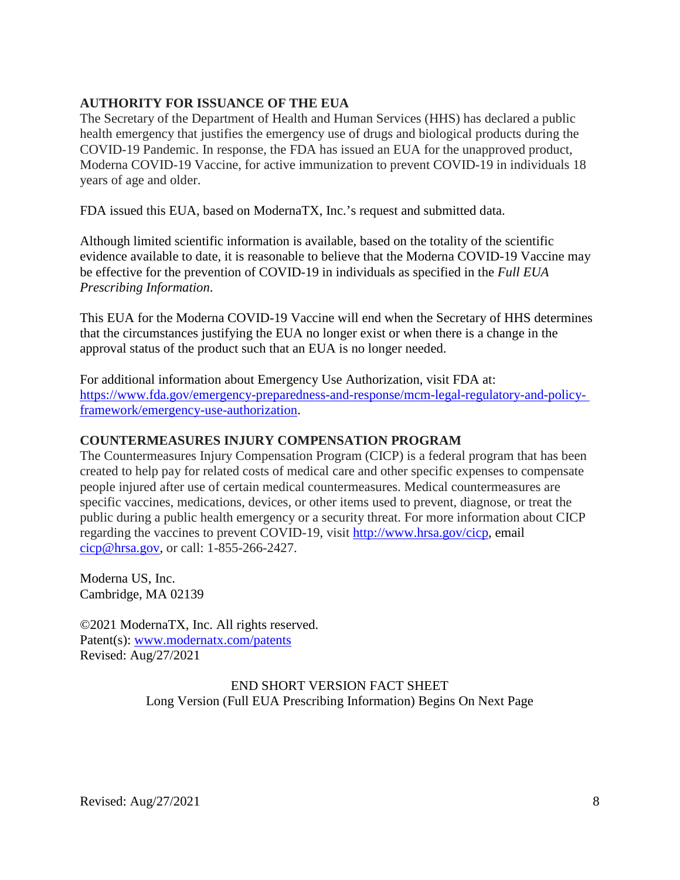## **AUTHORITY FOR ISSUANCE OF THE EUA**

The Secretary of the Department of Health and Human Services (HHS) has declared a public health emergency that justifies the emergency use of drugs and biological products during the COVID-19 Pandemic. In response, the FDA has issued an EUA for the unapproved product, Moderna COVID-19 Vaccine, for active immunization to prevent COVID-19 in individuals 18 years of age and older.

FDA issued this EUA, based on ModernaTX, Inc.'s request and submitted data.

Although limited scientific information is available, based on the totality of the scientific evidence available to date, it is reasonable to believe that the Moderna COVID-19 Vaccine may be effective for the prevention of COVID-19 in individuals as specified in the *Full EUA Prescribing Information*.

This EUA for the Moderna COVID-19 Vaccine will end when the Secretary of HHS determines that the circumstances justifying the EUA no longer exist or when there is a change in the approval status of the product such that an EUA is no longer needed.

For additional information about Emergency Use Authorization, visit FDA at: https://www.fda.gov/emergency-preparedness-and-response/mcm-legal-regulatory-and-policyframework/emergency-use-authorization.

#### **COUNTERMEASURES INJURY COMPENSATION PROGRAM**

The Countermeasures Injury Compensation Program (CICP) is a federal program that has been created to help pay for related costs of medical care and other specific expenses to compensate people injured after use of certain medical countermeasures. Medical countermeasures are specific vaccines, medications, devices, or other items used to prevent, diagnose, or treat the public during a public health emergency or a security threat. For more information about CICP regarding the vaccines to prevent COVID-19, visit http://www.hrsa.gov/cicp, email cicp@hrsa.gov, or call: 1-855-266-2427.

Moderna US, Inc. Cambridge, MA 02139

©2021 ModernaTX, Inc. All rights reserved. Patent(s): www.modernatx.com/patents Revised: Aug/27/2021

#### END SHORT VERSION FACT SHEET Long Version (Full EUA Prescribing Information) Begins On Next Page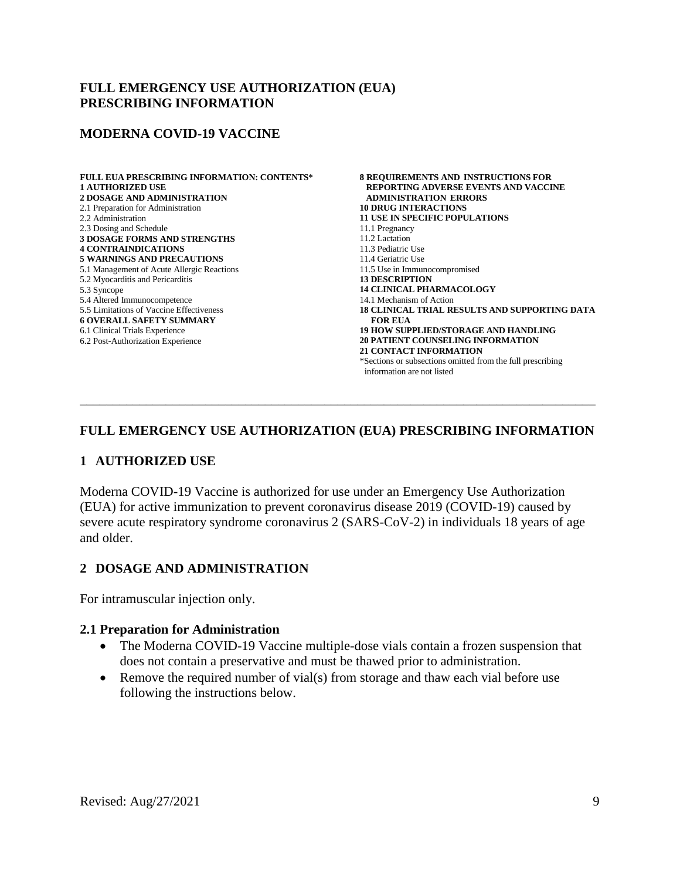#### **FULL EMERGENCY USE AUTHORIZATION (EUA) PRESCRIBING INFORMATION**

#### **MODERNA COVID-19 VACCINE**

**FULL EUA PRESCRIBING INFORMATION: CONTENTS\* 1 AUTHORIZED USE 2 DOSAGE AND ADMINISTRATION** 2.1 Preparation for Administration 2.2 Administration 2.3 Dosing and Schedule **3 DOSAGE FORMS AND STRENGTHS 4 CONTRAINDICATIONS 5 WARNINGS AND PRECAUTIONS** 5.1 Management of Acute Allergic Reactions 5.2 Myocarditis and Pericarditis 5.3 Syncope 5.4 Altered Immunocompetence 5.5 Limitations of Vaccine [Effectiveness](#page-10-0) **6 OVERALL SAFETY SUMMARY** 6.1 Clinical Trials Experience 6.2 Post-Authorization Experience

**8 REQUIREMENTS AND INSTRUCTIONS FOR REPORTING ADVERSE EVENTS AND VACCINE ADMINISTRATION ERRORS 10 DRUG INTERACTIONS 11 USE IN SPECIFIC POPULATIONS** 11.1 Pregnancy 11.2 Lactation 11.3 Pediatric Use 11.4 Geriatric Use 11.5 Use in Immunocompromised **13 DESCRIPTION 14 CLINICAL PHARMACOLOGY** 14.1 Mechanism of Action **18 CLINICAL TRIAL RESULTS AND SUPPORTING DATA FOR EUA 19 HOW SUPPLIED/STORAGE AND HANDLING 20 PATIENT COUNSELING INFORMATION 21 CONTACT INFORMATION** \*Sections or subsections omitted from the full prescribing information are not listed

## **FULL EMERGENCY USE AUTHORIZATION (EUA) PRESCRIBING INFORMATION**

\_\_\_\_\_\_\_\_\_\_\_\_\_\_\_\_\_\_\_\_\_\_\_\_\_\_\_\_\_\_\_\_\_\_\_\_\_\_\_\_\_\_\_\_\_\_\_\_\_\_\_\_\_\_\_\_\_\_\_\_\_\_\_\_\_\_\_\_\_\_\_\_\_\_\_\_\_\_

#### **1 AUTHORIZED USE**

Moderna COVID-19 Vaccine is authorized for use under an Emergency Use Authorization (EUA) for active immunization to prevent coronavirus disease 2019 (COVID-19) caused by severe acute respiratory syndrome coronavirus 2 (SARS-CoV-2) in individuals 18 years of age and older.

## **2 DOSAGE AND ADMINISTRATION**

For intramuscular injection only.

#### **2.1 Preparation for Administration**

- The Moderna COVID-19 Vaccine multiple-dose vials contain a frozen suspension that does not contain a preservative and must be thawed prior to administration.
- Remove the required number of vial(s) from storage and thaw each vial before use following the instructions below.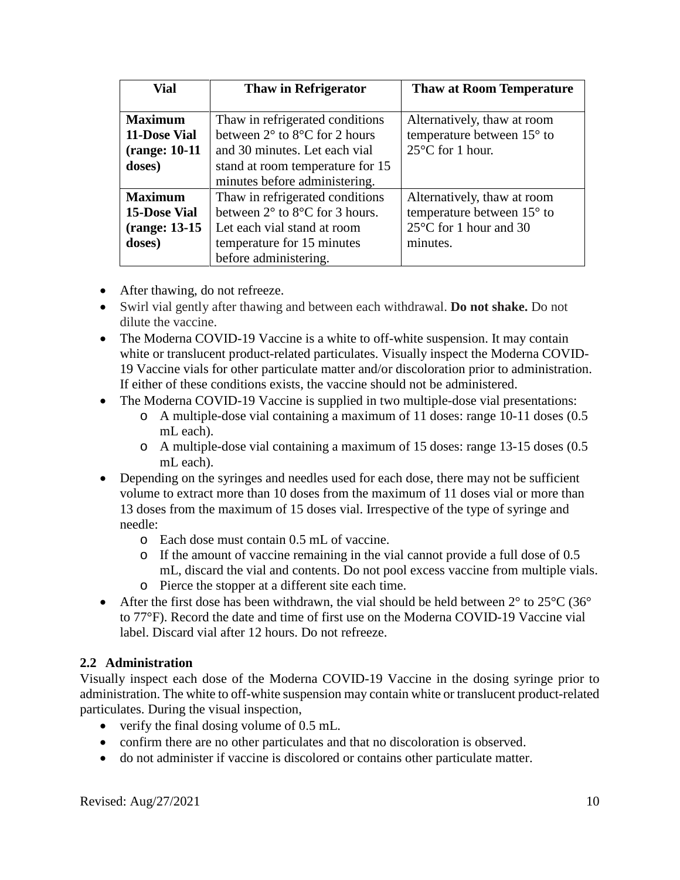| Vial                                          | <b>Thaw in Refrigerator</b>                       | <b>Thaw at Room Temperature</b>  |
|-----------------------------------------------|---------------------------------------------------|----------------------------------|
|                                               |                                                   |                                  |
| <b>Maximum</b>                                | Thaw in refrigerated conditions                   | Alternatively, thaw at room      |
| 11-Dose Vial                                  | between $2^{\circ}$ to $8^{\circ}$ C for 2 hours  | temperature between 15° to       |
| (range: 10-11)                                | and 30 minutes. Let each vial                     | $25^{\circ}$ C for 1 hour.       |
| doses)                                        | stand at room temperature for 15                  |                                  |
|                                               | minutes before administering.                     |                                  |
| <b>Maximum</b>                                | Thaw in refrigerated conditions                   | Alternatively, thaw at room      |
| <b>15-Dose Vial</b>                           | between $2^{\circ}$ to $8^{\circ}$ C for 3 hours. | temperature between 15° to       |
| (range: 13-15)<br>Let each vial stand at room |                                                   | $25^{\circ}$ C for 1 hour and 30 |
| doses)                                        | temperature for 15 minutes                        | minutes.                         |
|                                               | before administering.                             |                                  |

- After thawing, do not refreeze.
- Swirl vial gently after thawing and between each withdrawal. **Do not shake.** Do not dilute the vaccine.
- The Moderna COVID-19 Vaccine is a white to off-white suspension. It may contain white or translucent product-related particulates. Visually inspect the Moderna COVID-19 Vaccine vials for other particulate matter and/or discoloration prior to administration. If either of these conditions exists, the vaccine should not be administered.
- The Moderna COVID-19 Vaccine is supplied in two multiple-dose vial presentations:
	- o A multiple-dose vial containing a maximum of 11 doses: range 10-11 doses (0.5 mL each).
	- o A multiple-dose vial containing a maximum of 15 doses: range 13-15 doses (0.5 mL each).
- Depending on the syringes and needles used for each dose, there may not be sufficient volume to extract more than 10 doses from the maximum of 11 doses vial or more than 13 doses from the maximum of 15 doses vial. Irrespective of the type of syringe and needle:
	- o Each dose must contain 0.5 mL of vaccine.
	- o If the amount of vaccine remaining in the vial cannot provide a full dose of 0.5 mL, discard the vial and contents. Do not pool excess vaccine from multiple vials.
	- o Pierce the stopper at a different site each time.
- After the first dose has been withdrawn, the vial should be held between  $2^{\circ}$  to  $25^{\circ}$ C (36° to 77°F). Record the date and time of first use on the Moderna COVID-19 Vaccine vial label. Discard vial after 12 hours. Do not refreeze.

# **2.2 Administration**

Visually inspect each dose of the Moderna COVID-19 Vaccine in the dosing syringe prior to administration. The white to off-white suspension may contain white or translucent product-related particulates. During the visual inspection,

- verify the final dosing volume of 0.5 mL.
- confirm there are no other particulates and that no discoloration is observed.
- do not administer if vaccine is discolored or contains other particulate matter.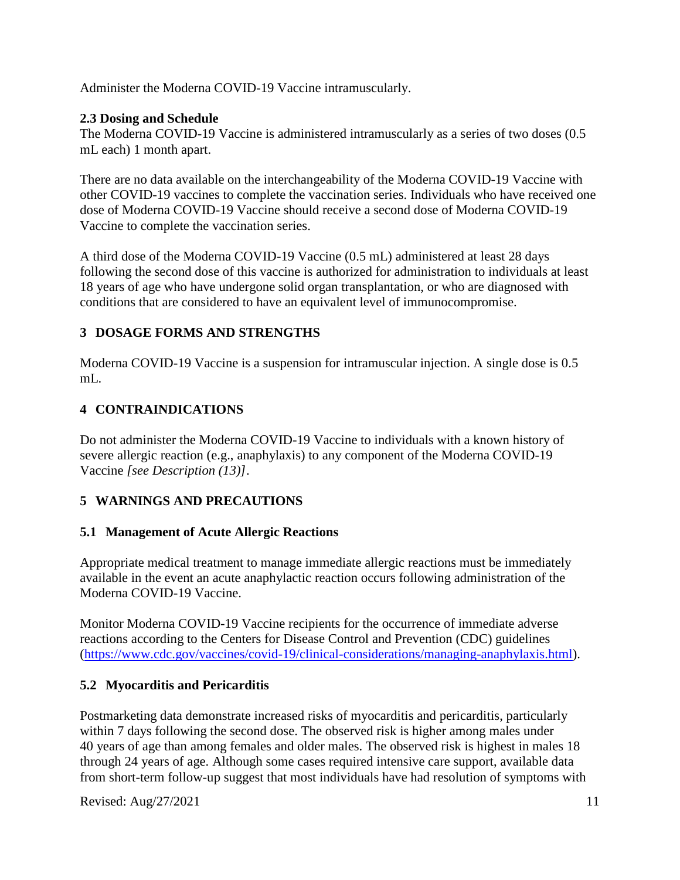Administer the Moderna COVID-19 Vaccine intramuscularly.

# **2.3 Dosing and Schedule**

The Moderna COVID-19 Vaccine is administered intramuscularly as a series of two doses (0.5 mL each) 1 month apart.

There are no data available on the interchangeability of the Moderna COVID-19 Vaccine with other COVID-19 vaccines to complete the vaccination series. Individuals who have received one dose of Moderna COVID-19 Vaccine should receive a second dose of Moderna COVID-19 Vaccine to complete the vaccination series.

A third dose of the Moderna COVID-19 Vaccine (0.5 mL) administered at least 28 days following the second dose of this vaccine is authorized for administration to individuals at least 18 years of age who have undergone solid organ transplantation, or who are diagnosed with conditions that are considered to have an equivalent level of immunocompromise.

# **3 DOSAGE FORMS AND STRENGTHS**

Moderna COVID-19 Vaccine is a suspension for intramuscular injection. A single dose is 0.5 mL.

# **4 CONTRAINDICATIONS**

<span id="page-10-0"></span>Do not administer the Moderna COVID-19 Vaccine to individuals with a known history of severe allergic reaction (e.g., anaphylaxis) to any component of the Moderna COVID-19 Vaccine *[see Description (13)]*.

# **5 WARNINGS AND PRECAUTIONS**

# **5.1 Management of Acute Allergic Reactions**

Appropriate medical treatment to manage immediate allergic reactions must be immediately available in the event an acute anaphylactic reaction occurs following administration of the Moderna COVID-19 Vaccine.

Monitor Moderna COVID-19 Vaccine recipients for the occurrence of immediate adverse reactions according to the Centers for Disease Control and Prevention (CDC) guidelines (https://www.cdc.gov/vaccines/covid-19/clinical-considerations/managing-anaphylaxis.html).

# **5.2 Myocarditis and Pericarditis**

Postmarketing data demonstrate increased risks of myocarditis and pericarditis, particularly within 7 days following the second dose. The observed risk is higher among males under 40 years of age than among females and older males. The observed risk is highest in males 18 through 24 years of age. Although some cases required intensive care support, available data from short-term follow-up suggest that most individuals have had resolution of symptoms with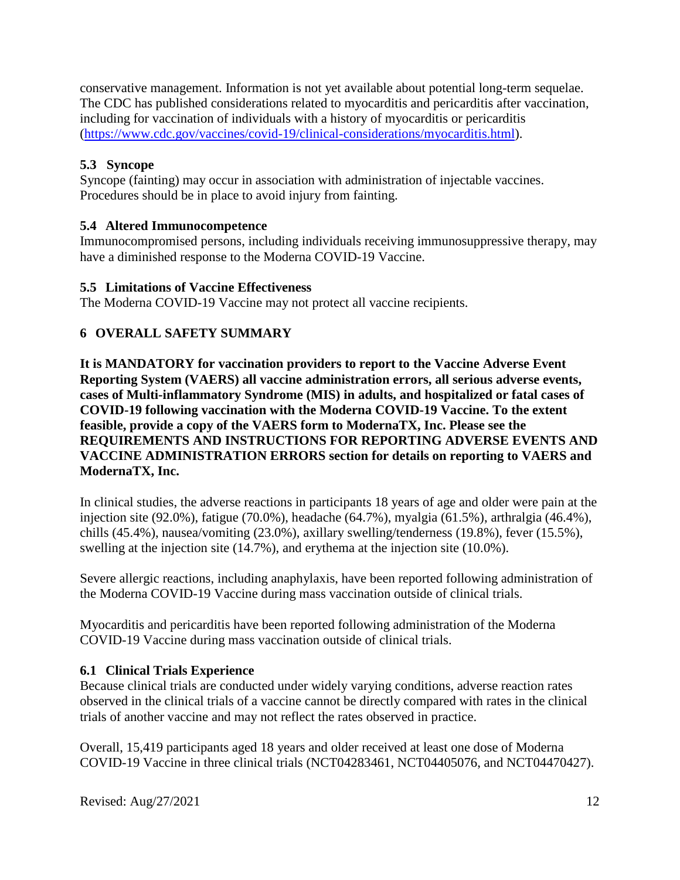conservative management. Information is not yet available about potential long-term sequelae. The CDC has published considerations related to myocarditis and pericarditis after vaccination, including for vaccination of individuals with a history of myocarditis or pericarditis (https://www.cdc.gov/vaccines/covid-19/clinical-considerations/myocarditis.html).

# **5.3 Syncope**

Syncope (fainting) may occur in association with administration of injectable vaccines. Procedures should be in place to avoid injury from fainting.

## **5.4 Altered Immunocompetence**

Immunocompromised persons, including individuals receiving immunosuppressive therapy, may have a diminished response to the Moderna COVID-19 Vaccine.

## **5.5 Limitations of Vaccine Effectiveness**

The Moderna COVID-19 Vaccine may not protect all vaccine recipients.

## **6 OVERALL SAFETY SUMMARY**

**It is MANDATORY for vaccination providers to report to the Vaccine Adverse Event Reporting System (VAERS) all vaccine administration errors, all serious adverse events, cases of Multi-inflammatory Syndrome (MIS) in adults, and hospitalized or fatal cases of COVID-19 following vaccination with the Moderna COVID-19 Vaccine. To the extent feasible, provide a copy of the VAERS form to ModernaTX, Inc. Please see the REQUIREMENTS AND INSTRUCTIONS FOR REPORTING ADVERSE EVENTS AND VACCINE ADMINISTRATION ERRORS section for details on reporting to VAERS and ModernaTX, Inc.**

In clinical studies, the adverse reactions in participants 18 years of age and older were pain at the injection site (92.0%), fatigue (70.0%), headache (64.7%), myalgia (61.5%), arthralgia (46.4%), chills (45.4%), nausea/vomiting (23.0%), axillary swelling/tenderness (19.8%), fever (15.5%), swelling at the injection site (14.7%), and erythema at the injection site (10.0%).

Severe allergic reactions, including anaphylaxis, have been reported following administration of the Moderna COVID-19 Vaccine during mass vaccination outside of clinical trials.

Myocarditis and pericarditis have been reported following administration of the Moderna COVID-19 Vaccine during mass vaccination outside of clinical trials.

## **6.1 Clinical Trials Experience**

Because clinical trials are conducted under widely varying conditions, adverse reaction rates observed in the clinical trials of a vaccine cannot be directly compared with rates in the clinical trials of another vaccine and may not reflect the rates observed in practice.

Overall, 15,419 participants aged 18 years and older received at least one dose of Moderna COVID-19 Vaccine in three clinical trials (NCT04283461, NCT04405076, and NCT04470427).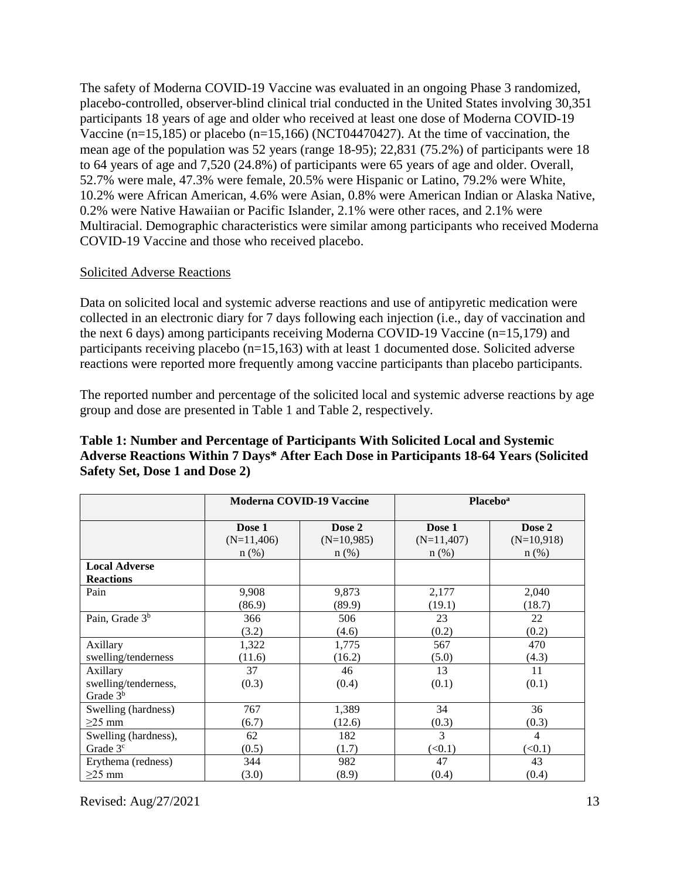The safety of Moderna COVID-19 Vaccine was evaluated in an ongoing Phase 3 randomized, placebo-controlled, observer-blind clinical trial conducted in the United States involving 30,351 participants 18 years of age and older who received at least one dose of Moderna COVID-19 Vaccine (n=15,185) or placebo (n=15,166) (NCT04470427). At the time of vaccination, the mean age of the population was 52 years (range 18-95); 22,831 (75.2%) of participants were 18 to 64 years of age and 7,520 (24.8%) of participants were 65 years of age and older. Overall, 52.7% were male, 47.3% were female, 20.5% were Hispanic or Latino, 79.2% were White, 10.2% were African American, 4.6% were Asian, 0.8% were American Indian or Alaska Native, 0.2% were Native Hawaiian or Pacific Islander, 2.1% were other races, and 2.1% were Multiracial. Demographic characteristics were similar among participants who received Moderna COVID-19 Vaccine and those who received placebo.

#### Solicited Adverse Reactions

Data on solicited local and systemic adverse reactions and use of antipyretic medication were collected in an electronic diary for 7 days following each injection (i.e., day of vaccination and the next 6 days) among participants receiving Moderna COVID-19 Vaccine (n=15,179) and participants receiving placebo (n=15,163) with at least 1 documented dose. Solicited adverse reactions were reported more frequently among vaccine participants than placebo participants.

The reported number and percentage of the solicited local and systemic adverse reactions by age group and dose are presented in Table 1 and Table 2, respectively.

|                                                |              | <b>Moderna COVID-19 Vaccine</b> |               | <b>Placebo</b> <sup>a</sup> |
|------------------------------------------------|--------------|---------------------------------|---------------|-----------------------------|
|                                                | Dose 1       | Dose 2                          | Dose 1        | Dose 2                      |
|                                                | $(N=11,406)$ | $(N=10,985)$                    | $(N=11,407)$  | $(N=10,918)$                |
|                                                | $n$ (%)      | $n$ (%)                         | $n$ (%)       | $n$ (%)                     |
| <b>Local Adverse</b><br><b>Reactions</b>       |              |                                 |               |                             |
| Pain                                           | 9,908        | 9,873                           | 2,177         | 2,040                       |
|                                                | (86.9)       | (89.9)                          | (19.1)        | (18.7)                      |
| Pain, Grade 3 <sup>b</sup>                     | 366          | 506                             | 23            | 22                          |
|                                                | (3.2)        | (4.6)                           | (0.2)         | (0.2)                       |
| Axillary                                       | 1,322        | 1,775                           | 567           | 470                         |
| swelling/tenderness                            | (11.6)       | (16.2)                          | (5.0)         | (4.3)                       |
| Axillary<br>swelling/tenderness,<br>Grade $3b$ | 37<br>(0.3)  | 46<br>(0.4)                     | 13<br>(0.1)   | 11<br>(0.1)                 |
| Swelling (hardness)                            | 767          | 1,389                           | 34            | 36                          |
| $\geq$ 25 mm                                   | (6.7)        | (12.6)                          | (0.3)         | (0.3)                       |
| Swelling (hardness),                           | 62           | 182                             | $\mathcal{E}$ | 4                           |
| Grade 3 <sup>c</sup>                           | (0.5)        | (1.7)                           | (<0.1)        | (<0.1)                      |
| Erythema (redness)                             | 344          | 982                             | 47            | 43                          |
| $\geq$ 25 mm                                   | (3.0)        | (8.9)                           | (0.4)         | (0.4)                       |

## **Table 1: Number and Percentage of Participants With Solicited Local and Systemic Adverse Reactions Within 7 Days\* After Each Dose in Participants 18-64 Years (Solicited Safety Set, Dose 1 and Dose 2)**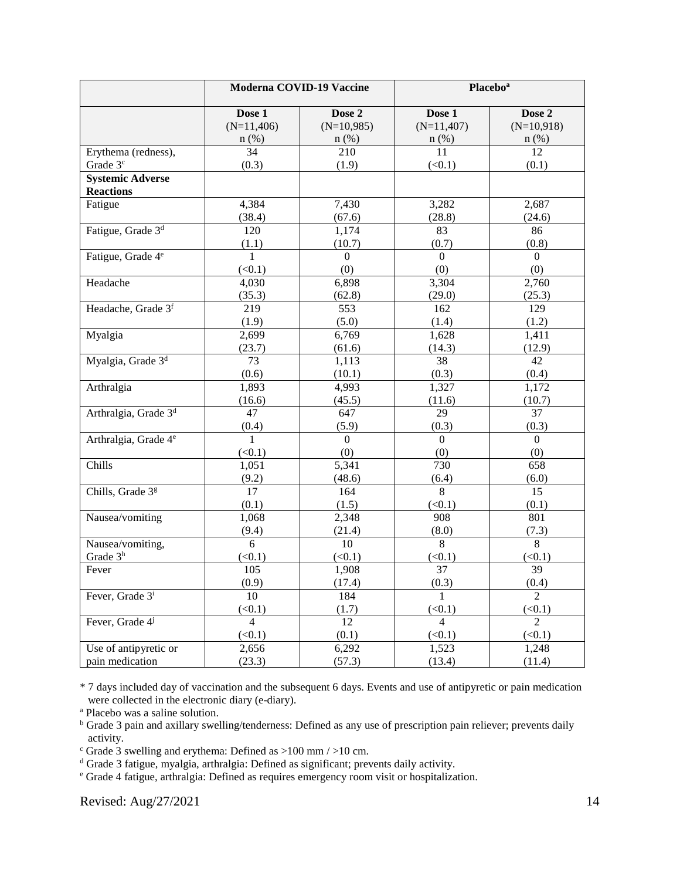|                                             |                        | Moderna COVID-19 Vaccine |                        | Placebo <sup>a</sup>   |
|---------------------------------------------|------------------------|--------------------------|------------------------|------------------------|
|                                             | Dose 1<br>$(N=11,406)$ | Dose 2<br>$(N=10,985)$   | Dose 1<br>$(N=11,407)$ | Dose 2<br>$(N=10,918)$ |
|                                             | $n$ (%)                | $n$ (%)                  | $n$ (%)                | $n$ (%)                |
| Erythema (redness),                         | 34                     | 210                      | 11                     | 12                     |
| Grade 3 <sup>c</sup>                        | (0.3)                  | (1.9)                    | (<0.1)                 | (0.1)                  |
| <b>Systemic Adverse</b><br><b>Reactions</b> |                        |                          |                        |                        |
| Fatigue                                     | 4,384                  | 7,430                    | 3,282                  | 2,687                  |
|                                             | (38.4)                 | (67.6)                   | (28.8)                 | (24.6)                 |
| Fatigue, Grade 3 <sup>d</sup>               | 120                    | 1,174                    | 83                     | 86                     |
|                                             | (1.1)                  | (10.7)                   | (0.7)                  | (0.8)                  |
| Fatigue, Grade 4 <sup>e</sup>               | 1                      | $\Omega$                 | $\Omega$               | $\Omega$               |
|                                             | (<0.1)                 | (0)                      | (0)                    | (0)                    |
| Headache                                    | 4,030                  | 6,898                    | 3,304                  | 2,760                  |
|                                             | (35.3)                 | (62.8)                   | (29.0)                 | (25.3)                 |
| Headache, Grade 3f                          | 219                    | 553                      | 162                    | 129                    |
|                                             | (1.9)                  | (5.0)                    | (1.4)                  | (1.2)                  |
| Myalgia                                     | 2,699                  | 6,769                    | 1,628                  | 1,411                  |
|                                             | (23.7)                 | (61.6)                   | (14.3)                 | (12.9)                 |
| Myalgia, Grade 3 <sup>d</sup>               | 73                     | 1,113                    | 38                     | 42                     |
|                                             | (0.6)                  | (10.1)                   | (0.3)                  | (0.4)                  |
| Arthralgia                                  | 1,893                  | 4,993                    | 1,327                  | 1,172                  |
|                                             | (16.6)                 | (45.5)                   | (11.6)                 | (10.7)                 |
| Arthralgia, Grade 3 <sup>d</sup>            | 47                     | 647                      | 29                     | 37                     |
|                                             | (0.4)                  | (5.9)                    | (0.3)                  | (0.3)                  |
| Arthralgia, Grade 4 <sup>e</sup>            | $\mathbf{1}$           | $\overline{0}$           | $\mathbf{0}$           | $\overline{0}$         |
|                                             | (<0.1)                 | (0)                      | (0)                    | (0)                    |
| Chills                                      | 1,051                  | 5,341                    | 730                    | 658                    |
|                                             | (9.2)                  | (48.6)                   | (6.4)                  | (6.0)                  |
| Chills, Grade 3g                            | 17                     | 164                      | 8                      | 15                     |
|                                             | (0.1)                  | (1.5)                    | (<0.1)                 | (0.1)                  |
| Nausea/vomiting                             | 1,068                  | 2,348                    | 908                    | 801                    |
|                                             | (9.4)                  | (21.4)                   | (8.0)                  | (7.3)                  |
| Nausea/vomiting,                            | $\overline{6}$         | 10                       | $\overline{8}$         | $\overline{8}$         |
| Grade 3h                                    | (<0.1)                 | (<0.1)                   | (<0.1)                 | (<0.1)                 |
| Fever                                       | 105                    | 1,908                    | 37                     | 39                     |
|                                             | (0.9)                  | (17.4)                   | (0.3)                  | (0.4)                  |
| Fever, Grade 3 <sup>i</sup>                 | 10                     | 184                      |                        | $\mathcal{D}_{\alpha}$ |
|                                             | (<0.1)                 | (1.7)                    | (<0.1)                 | (<0.1)                 |
| Fever, Grade 4 <sup>j</sup>                 | $\overline{4}$         | 12                       | $\overline{4}$         | $\overline{2}$         |
|                                             | (<0.1)                 | (0.1)                    | (<0.1)                 | (<0.1)                 |
| Use of antipyretic or                       | 2,656                  | 6,292                    | 1,523                  | 1,248                  |
| pain medication                             | (23.3)                 | (57.3)                   | (13.4)                 | (11.4)                 |

\* 7 days included day of vaccination and the subsequent 6 days. Events and use of antipyretic or pain medication were collected in the electronic diary (e-diary).

<sup>a</sup> Placebo was a saline solution.

<sup>b</sup> Grade 3 pain and axillary swelling/tenderness: Defined as any use of prescription pain reliever; prevents daily activity.

 $\degree$  Grade 3 swelling and erythema: Defined as >100 mm / >10 cm.

<sup>d</sup> Grade 3 fatigue, myalgia, arthralgia: Defined as significant; prevents daily activity.

<sup>e</sup> Grade 4 fatigue, arthralgia: Defined as requires emergency room visit or hospitalization.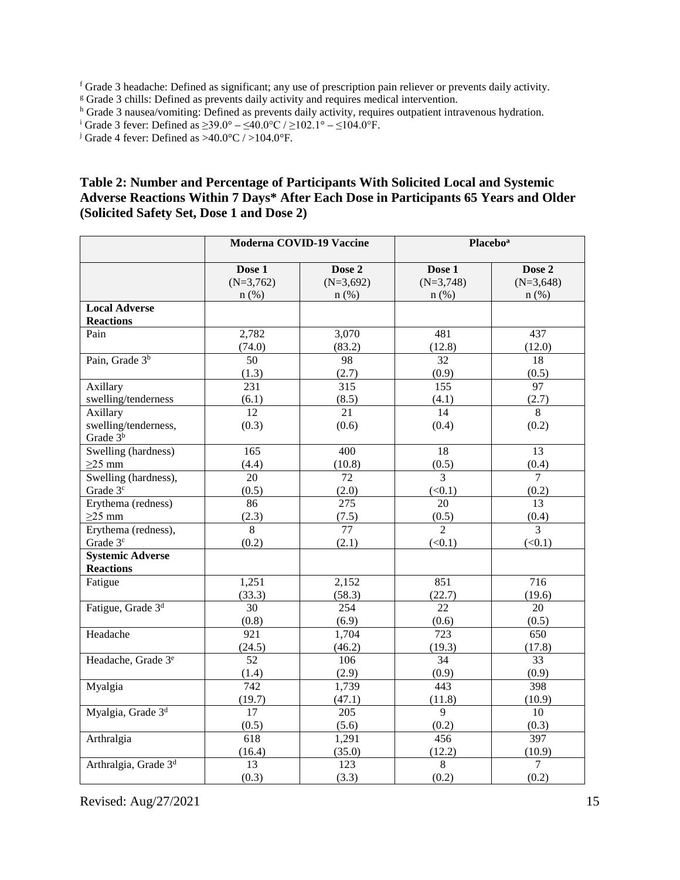<sup>f</sup> Grade 3 headache: Defined as significant; any use of prescription pain reliever or prevents daily activity.

<sup>g</sup> Grade 3 chills: Defined as prevents daily activity and requires medical intervention.

h Grade 3 nausea/vomiting: Defined as prevents daily activity, requires outpatient intravenous hydration.

<sup>i</sup> Grade 3 fever: Defined as ≥39.0° – ≤40.0°C / ≥102.1° – ≤104.0°F.<br><sup>j</sup> Grade 4 fever: Defined as >40.0°C / >104.0°F.

#### **Table 2: Number and Percentage of Participants With Solicited Local and Systemic Adverse Reactions Within 7 Days\* After Each Dose in Participants 65 Years and Older (Solicited Safety Set, Dose 1 and Dose 2)**

|                                    |                       | <b>Moderna COVID-19 Vaccine</b> | Placebo <sup>a</sup>  |                       |
|------------------------------------|-----------------------|---------------------------------|-----------------------|-----------------------|
|                                    | Dose 1<br>$(N=3,762)$ | Dose 2<br>$(N=3,692)$           | Dose 1<br>$(N=3,748)$ | Dose 2<br>$(N=3,648)$ |
| <b>Local Adverse</b>               | $n$ (%)               | $n$ (%)                         | $n$ (%)               | $n$ (%)               |
| <b>Reactions</b>                   |                       |                                 |                       |                       |
| Pain                               | 2,782                 | 3,070                           | 481                   | 437                   |
|                                    | (74.0)                | (83.2)                          | (12.8)                | (12.0)                |
| Pain, Grade 3 <sup>b</sup>         | 50                    | 98                              | 32                    | 18                    |
|                                    | (1.3)                 | (2.7)                           | (0.9)                 | (0.5)                 |
| Axillary                           | $\overline{231}$      | 315                             | 155                   | $\overline{97}$       |
| swelling/tenderness                | (6.1)                 | (8.5)                           | (4.1)                 | (2.7)                 |
| Axillary                           | 12                    | 21                              | 14                    | 8                     |
| swelling/tenderness,<br>Grade $3b$ | (0.3)                 | (0.6)                           | (0.4)                 | (0.2)                 |
| Swelling (hardness)                | 165                   | $\overline{400}$                | $\overline{18}$       | 13                    |
| $\geq$ 25 mm                       | (4.4)                 | (10.8)                          | (0.5)                 | (0.4)                 |
| Swelling (hardness),               | 20                    | 72                              | 3                     | $\tau$                |
| Grade 3 <sup>c</sup>               | (0.5)                 | (2.0)                           | (<0.1)                | (0.2)                 |
| Erythema (redness)                 | 86                    | 275                             | 20                    | 13                    |
| $\geq$ 25 mm                       | (2.3)                 | (7.5)                           | (0.5)                 | (0.4)                 |
| Erythema (redness),                | $\overline{8}$        | $\overline{77}$                 | $\overline{2}$        | $\overline{3}$        |
| Grade 3 <sup>c</sup>               | (0.2)                 | (2.1)                           | (<0.1)                | (<0.1)                |
| <b>Systemic Adverse</b>            |                       |                                 |                       |                       |
| <b>Reactions</b>                   |                       |                                 |                       |                       |
| Fatigue                            | 1,251                 | 2,152                           | 851                   | 716                   |
|                                    | (33.3)                | (58.3)                          | (22.7)                | (19.6)                |
| Fatigue, Grade 3 <sup>d</sup>      | 30                    | 254                             | 22                    | 20                    |
|                                    | (0.8)                 | (6.9)                           | (0.6)                 | (0.5)                 |
| Headache                           | 921                   | 1,704                           | $\overline{723}$      | 650                   |
|                                    | (24.5)                | (46.2)                          | (19.3)                | (17.8)                |
| Headache, Grade 3 <sup>e</sup>     | 52                    | 106                             | 34                    | 33                    |
|                                    | (1.4)                 | (2.9)                           | (0.9)                 | (0.9)                 |
| Myalgia                            | $\overline{742}$      | 1,739                           | 443                   | 398                   |
|                                    | (19.7)                | (47.1)                          | (11.8)                | (10.9)                |
| Myalgia, Grade 3 <sup>d</sup>      | 17                    | 205                             | 9                     | 10                    |
|                                    | (0.5)<br>(5.6)<br>618 |                                 | (0.2)<br>456          | (0.3)<br>397          |
| Arthralgia                         | (16.4)                | 1,291<br>(35.0)                 | (12.2)                | (10.9)                |
| Arthralgia, Grade 3 <sup>d</sup>   | 13                    | 123                             | 8                     | $\overline{7}$        |
|                                    | (0.3)                 | (3.3)                           | (0.2)                 | (0.2)                 |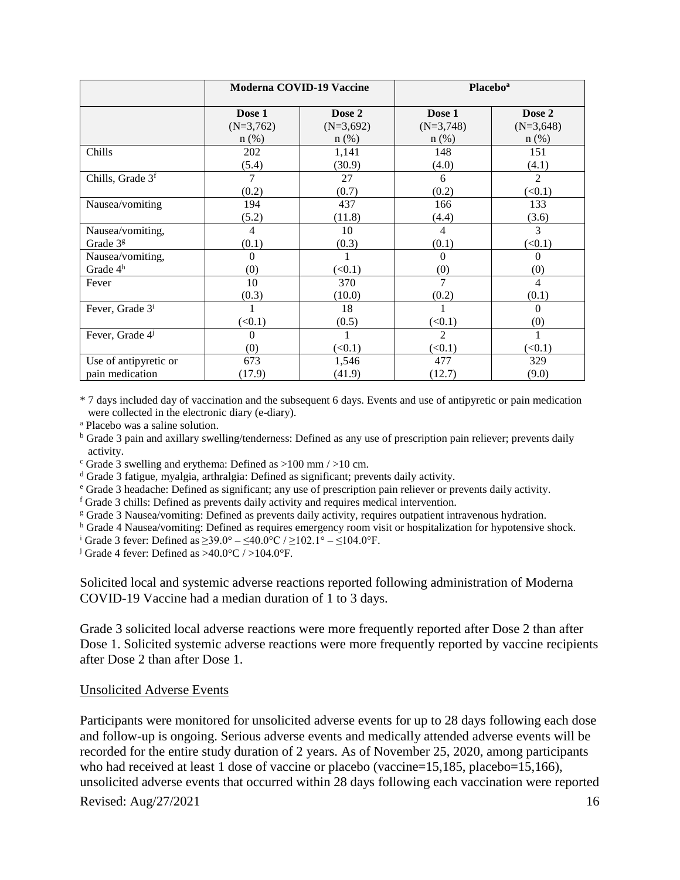|                              |             | <b>Moderna COVID-19 Vaccine</b> |                | <b>Placebo</b> <sup>a</sup> |
|------------------------------|-------------|---------------------------------|----------------|-----------------------------|
|                              | Dose 1      | Dose 2                          | Dose 1         | Dose 2                      |
|                              | $(N=3,762)$ | $(N=3,692)$                     | $(N=3,748)$    | $(N=3,648)$                 |
|                              | $n$ (%)     | $n$ (%)                         | $n$ (%)        | $n$ (%)                     |
| Chills                       | 202         | 1,141                           | 148            | 151                         |
|                              | (5.4)       | (30.9)                          | (4.0)          | (4.1)                       |
| Chills, Grade 3 <sup>f</sup> | 7           | 27                              | 6              | $\mathfrak{D}$              |
|                              | (0.2)       | (0.7)                           | (0.2)          | (<0.1)                      |
| Nausea/vomiting              | 194         | 437                             | 166            | 133                         |
|                              | (5.2)       | (11.8)                          | (4.4)          | (3.6)                       |
| Nausea/vomiting,             | 4           | 10                              | 4              | 3                           |
| Grade 3 <sup>g</sup>         | (0.1)       | (0.3)                           | (0.1)          | (<0.1)                      |
| Nausea/vomiting,             | $\Omega$    |                                 | $\Omega$       | $\Omega$                    |
| Grade 4 <sup>h</sup>         | (0)         | (<0.1)                          | (0)            | (0)                         |
| Fever                        | 10          | 370                             | 7              | 4                           |
|                              | (0.3)       | (10.0)                          | (0.2)          | (0.1)                       |
| Fever, Grade 3 <sup>i</sup>  |             | 18                              |                | 0                           |
|                              | (<0.1)      | (0.5)                           | (<0.1)         | (0)                         |
| Fever, Grade 4               | $\Omega$    |                                 | $\overline{2}$ |                             |
|                              | (0)         | (<0.1)                          | (<0.1)         | (<0.1)                      |
| Use of antipyretic or        | 673         | 1,546                           | 477            | 329                         |
| pain medication              | (17.9)      | (41.9)                          | (12.7)         | (9.0)                       |

\* 7 days included day of vaccination and the subsequent 6 days. Events and use of antipyretic or pain medication were collected in the electronic diary (e-diary).

<sup>a</sup> Placebo was a saline solution.

<sup>b</sup> Grade 3 pain and axillary swelling/tenderness: Defined as any use of prescription pain reliever; prevents daily activity.<br>
c Grade 3 swelling and erythema: Defined as  $>100$  mm  $/$   $>10$  cm.<br>
<sup>d</sup> Grade 3 fatigue, myalgia, arthralgia: Defined as significant; prevents daily activity.

<sup>e</sup> Grade 3 headache: Defined as significant; any use of prescription pain reliever or prevents daily activity.

<sup>f</sup> Grade 3 chills: Defined as prevents daily activity and requires medical intervention.

<sup>g</sup> Grade 3 Nausea/vomiting: Defined as prevents daily activity, requires outpatient intravenous hydration.

h Grade 4 Nausea/vomiting: Defined as requires emergency room visit or hospitalization for hypotensive shock.<br>i Grade 3 fever: Defined as  $\geq 39.0^{\circ} - \leq 40.0^{\circ}C / \geq 102.1^{\circ} - \leq 104.0^{\circ}F$ .<br>j Grade 4 fever: Defined

Solicited local and systemic adverse reactions reported following administration of Moderna COVID-19 Vaccine had a median duration of 1 to 3 days.

Grade 3 solicited local adverse reactions were more frequently reported after Dose 2 than after Dose 1. Solicited systemic adverse reactions were more frequently reported by vaccine recipients after Dose 2 than after Dose 1.

#### Unsolicited Adverse Events

Participants were monitored for unsolicited adverse events for up to 28 days following each dose and follow-up is ongoing. Serious adverse events and medically attended adverse events will be recorded for the entire study duration of 2 years. As of November 25, 2020, among participants who had received at least 1 dose of vaccine or placebo (vaccine=15,185, placebo=15,166), unsolicited adverse events that occurred within 28 days following each vaccination were reported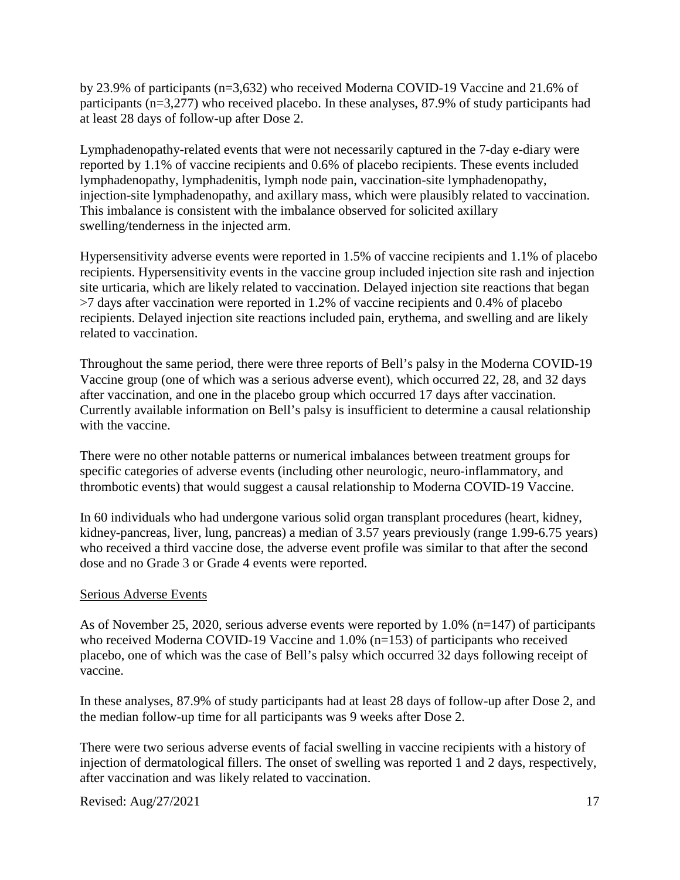by 23.9% of participants (n=3,632) who received Moderna COVID-19 Vaccine and 21.6% of participants (n=3,277) who received placebo. In these analyses, 87.9% of study participants had at least 28 days of follow-up after Dose 2.

Lymphadenopathy-related events that were not necessarily captured in the 7-day e-diary were reported by 1.1% of vaccine recipients and 0.6% of placebo recipients. These events included lymphadenopathy, lymphadenitis, lymph node pain, vaccination-site lymphadenopathy, injection-site lymphadenopathy, and axillary mass, which were plausibly related to vaccination. This imbalance is consistent with the imbalance observed for solicited axillary swelling/tenderness in the injected arm.

Hypersensitivity adverse events were reported in 1.5% of vaccine recipients and 1.1% of placebo recipients. Hypersensitivity events in the vaccine group included injection site rash and injection site urticaria, which are likely related to vaccination. Delayed injection site reactions that began >7 days after vaccination were reported in 1.2% of vaccine recipients and 0.4% of placebo recipients. Delayed injection site reactions included pain, erythema, and swelling and are likely related to vaccination.

Throughout the same period, there were three reports of Bell's palsy in the Moderna COVID-19 Vaccine group (one of which was a serious adverse event), which occurred 22, 28, and 32 days after vaccination, and one in the placebo group which occurred 17 days after vaccination. Currently available information on Bell's palsy is insufficient to determine a causal relationship with the vaccine.

There were no other notable patterns or numerical imbalances between treatment groups for specific categories of adverse events (including other neurologic, neuro-inflammatory, and thrombotic events) that would suggest a causal relationship to Moderna COVID-19 Vaccine.

In 60 individuals who had undergone various solid organ transplant procedures (heart, kidney, kidney-pancreas, liver, lung, pancreas) a median of 3.57 years previously (range 1.99-6.75 years) who received a third vaccine dose, the adverse event profile was similar to that after the second dose and no Grade 3 or Grade 4 events were reported.

#### Serious Adverse Events

As of November 25, 2020, serious adverse events were reported by 1.0% (n=147) of participants who received Moderna COVID-19 Vaccine and 1.0% (n=153) of participants who received placebo, one of which was the case of Bell's palsy which occurred 32 days following receipt of vaccine.

In these analyses, 87.9% of study participants had at least 28 days of follow-up after Dose 2, and the median follow-up time for all participants was 9 weeks after Dose 2.

There were two serious adverse events of facial swelling in vaccine recipients with a history of injection of dermatological fillers. The onset of swelling was reported 1 and 2 days, respectively, after vaccination and was likely related to vaccination.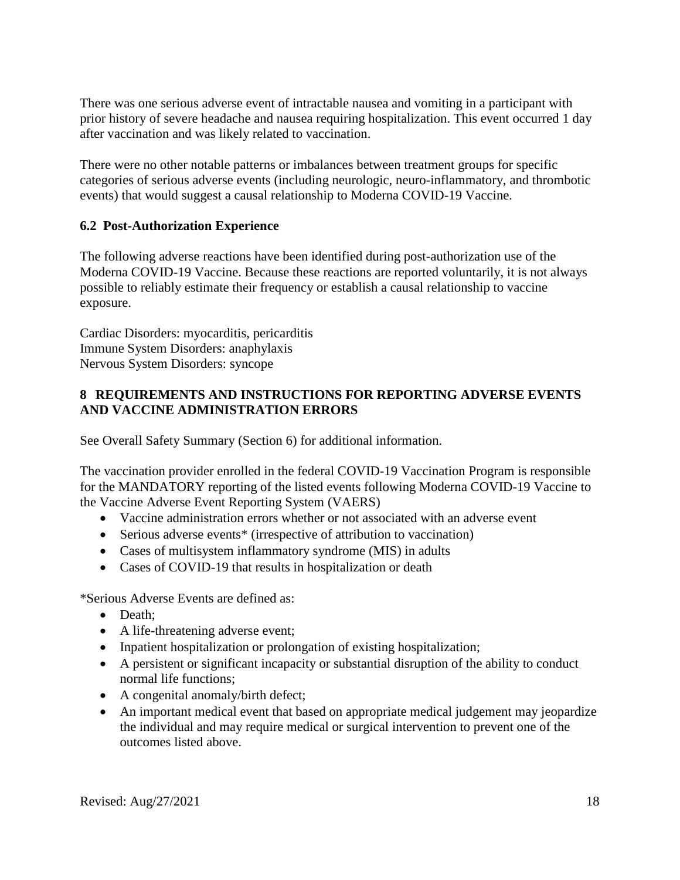There was one serious adverse event of intractable nausea and vomiting in a participant with prior history of severe headache and nausea requiring hospitalization. This event occurred 1 day after vaccination and was likely related to vaccination.

There were no other notable patterns or imbalances between treatment groups for specific categories of serious adverse events (including neurologic, neuro-inflammatory, and thrombotic events) that would suggest a causal relationship to Moderna COVID-19 Vaccine.

### **6.2 Post-Authorization Experience**

The following adverse reactions have been identified during post-authorization use of the Moderna COVID-19 Vaccine. Because these reactions are reported voluntarily, it is not always possible to reliably estimate their frequency or establish a causal relationship to vaccine exposure.

Cardiac Disorders: myocarditis, pericarditis Immune System Disorders: anaphylaxis Nervous System Disorders: syncope

## **8 REQUIREMENTS AND INSTRUCTIONS FOR REPORTING ADVERSE EVENTS AND VACCINE ADMINISTRATION ERRORS**

See Overall Safety Summary (Section 6) for additional information.

The vaccination provider enrolled in the federal COVID-19 Vaccination Program is responsible for the MANDATORY reporting of the listed events following Moderna COVID-19 Vaccine to the Vaccine Adverse Event Reporting System (VAERS)

- Vaccine administration errors whether or not associated with an adverse event
- Serious adverse events<sup>\*</sup> (irrespective of attribution to vaccination)
- Cases of multisystem inflammatory syndrome (MIS) in adults
- Cases of COVID-19 that results in hospitalization or death

\*Serious Adverse Events are defined as:

- Death;
- A life-threatening adverse event;
- Inpatient hospitalization or prolongation of existing hospitalization;
- A persistent or significant incapacity or substantial disruption of the ability to conduct normal life functions;
- A congenital anomaly/birth defect;
- An important medical event that based on appropriate medical judgement may jeopardize the individual and may require medical or surgical intervention to prevent one of the outcomes listed above.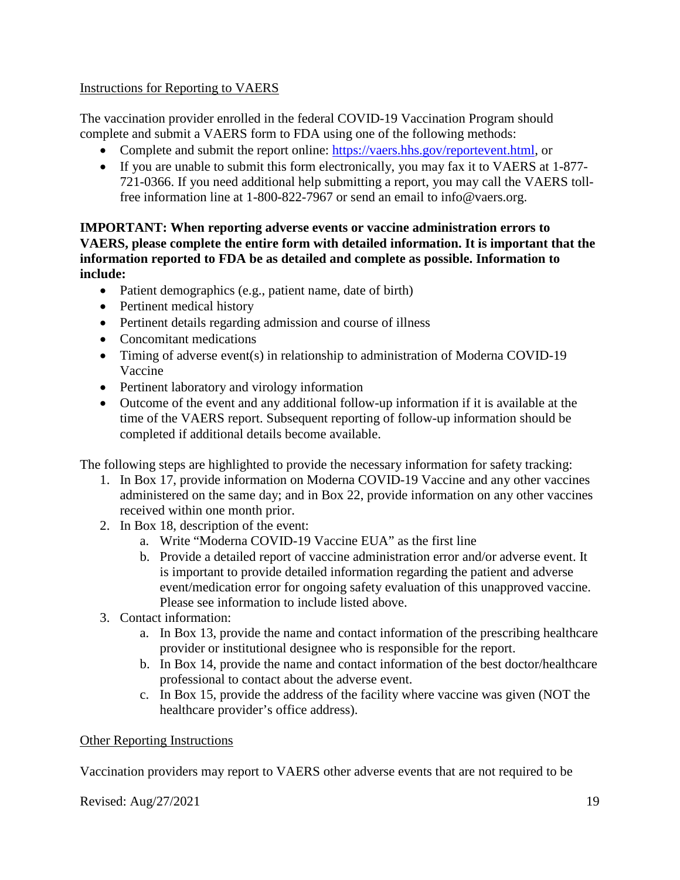### Instructions for Reporting to VAERS

The vaccination provider enrolled in the federal COVID-19 Vaccination Program should complete and submit a VAERS form to FDA using one of the following methods:

- Complete and submit the report online: https://vaers.hhs.gov/reportevent.html, or
- If you are unable to submit this form electronically, you may fax it to VAERS at 1-877- 721-0366. If you need additional help submitting a report, you may call the VAERS tollfree information line at 1-800-822-7967 or send an email to info@vaers.org.

#### **IMPORTANT: When reporting adverse events or vaccine administration errors to VAERS, please complete the entire form with detailed information. It is important that the information reported to FDA be as detailed and complete as possible. Information to include:**

- Patient demographics (e.g., patient name, date of birth)
- Pertinent medical history
- Pertinent details regarding admission and course of illness
- Concomitant medications
- Timing of adverse event(s) in relationship to administration of Moderna COVID-19 Vaccine
- Pertinent laboratory and virology information
- Outcome of the event and any additional follow-up information if it is available at the time of the VAERS report. Subsequent reporting of follow-up information should be completed if additional details become available.

The following steps are highlighted to provide the necessary information for safety tracking:

- 1. In Box 17, provide information on Moderna COVID-19 Vaccine and any other vaccines administered on the same day; and in Box 22, provide information on any other vaccines received within one month prior.
- 2. In Box 18, description of the event:
	- a. Write "Moderna COVID-19 Vaccine EUA" as the first line
	- b. Provide a detailed report of vaccine administration error and/or adverse event. It is important to provide detailed information regarding the patient and adverse event/medication error for ongoing safety evaluation of this unapproved vaccine. Please see information to include listed above.
- 3. Contact information:
	- a. In Box 13, provide the name and contact information of the prescribing healthcare provider or institutional designee who is responsible for the report.
	- b. In Box 14, provide the name and contact information of the best doctor/healthcare professional to contact about the adverse event.
	- c. In Box 15, provide the address of the facility where vaccine was given (NOT the healthcare provider's office address).

## Other Reporting Instructions

Vaccination providers may report to VAERS other adverse events that are not required to be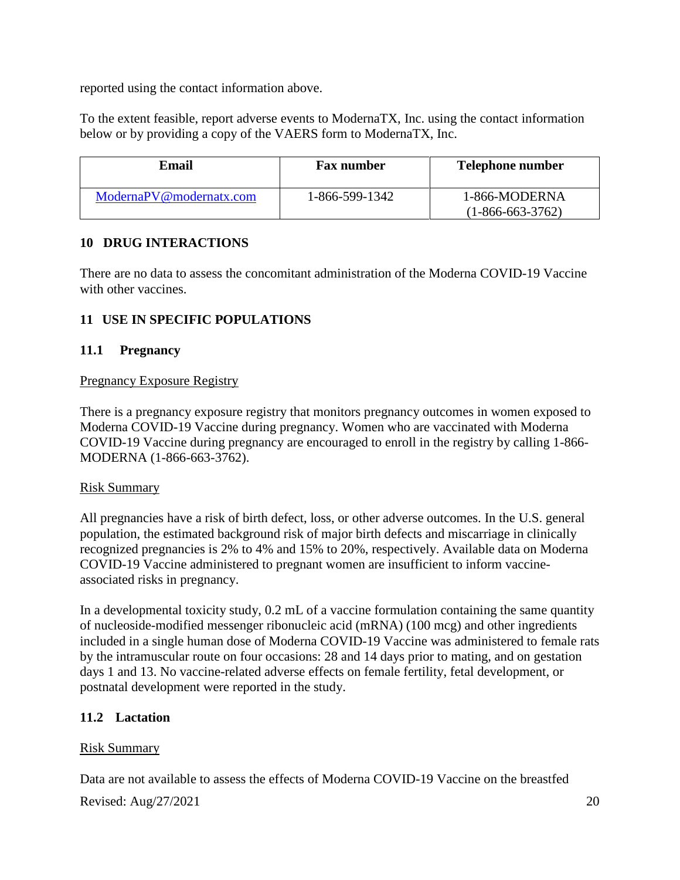reported using the contact information above.

To the extent feasible, report adverse events to ModernaTX, Inc. using the contact information below or by providing a copy of the VAERS form to ModernaTX, Inc.

| Email                   | <b>Fax number</b> | <b>Telephone number</b>             |
|-------------------------|-------------------|-------------------------------------|
| ModernaPV@modernatx.com | 1-866-599-1342    | 1-866-MODERNA<br>$(1-866-663-3762)$ |

## **10 DRUG INTERACTIONS**

There are no data to assess the concomitant administration of the Moderna COVID-19 Vaccine with other vaccines.

## **11 USE IN SPECIFIC POPULATIONS**

## **11.1 Pregnancy**

#### Pregnancy Exposure Registry

There is a pregnancy exposure registry that monitors pregnancy outcomes in women exposed to Moderna COVID-19 Vaccine during pregnancy. Women who are vaccinated with Moderna COVID-19 Vaccine during pregnancy are encouraged to enroll in the registry by calling 1-866- MODERNA (1-866-663-3762).

#### Risk Summary

All pregnancies have a risk of birth defect, loss, or other adverse outcomes. In the U.S. general population, the estimated background risk of major birth defects and miscarriage in clinically recognized pregnancies is 2% to 4% and 15% to 20%, respectively. Available data on Moderna COVID-19 Vaccine administered to pregnant women are insufficient to inform vaccineassociated risks in pregnancy.

In a developmental toxicity study, 0.2 mL of a vaccine formulation containing the same quantity of nucleoside-modified messenger ribonucleic acid (mRNA) (100 mcg) and other ingredients included in a single human dose of Moderna COVID-19 Vaccine was administered to female rats by the intramuscular route on four occasions: 28 and 14 days prior to mating, and on gestation days 1 and 13. No vaccine-related adverse effects on female fertility, fetal development, or postnatal development were reported in the study.

## **11.2 Lactation**

## Risk Summary

Data are not available to assess the effects of Moderna COVID-19 Vaccine on the breastfed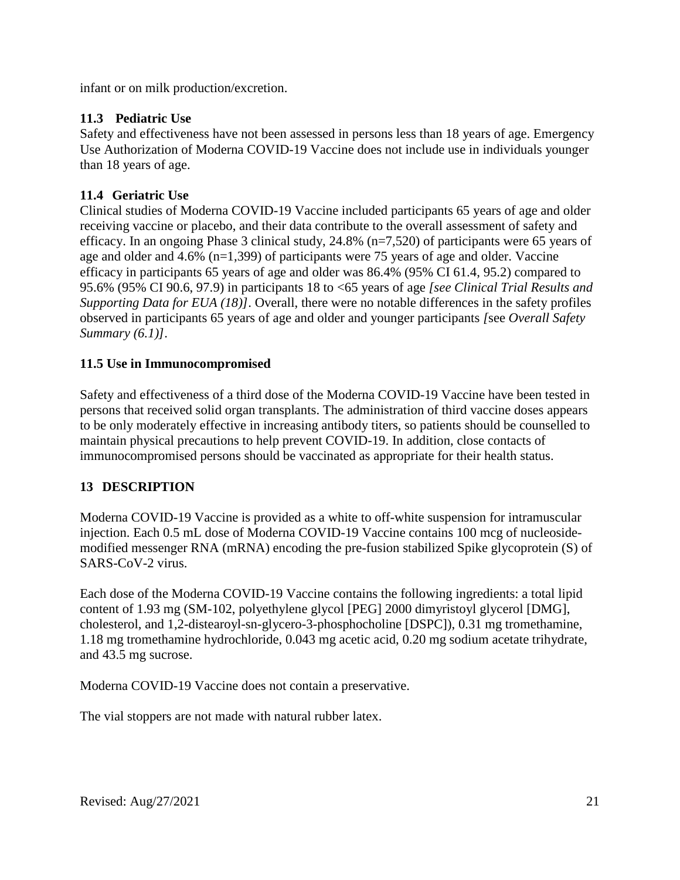infant or on milk production/excretion.

## **11.3 Pediatric Use**

Safety and effectiveness have not been assessed in persons less than 18 years of age. Emergency Use Authorization of Moderna COVID-19 Vaccine does not include use in individuals younger than 18 years of age.

## **11.4 Geriatric Use**

Clinical studies of Moderna COVID-19 Vaccine included participants 65 years of age and older receiving vaccine or placebo, and their data contribute to the overall assessment of safety and efficacy. In an ongoing Phase 3 clinical study, 24.8% (n=7,520) of participants were 65 years of age and older and 4.6% (n=1,399) of participants were 75 years of age and older. Vaccine efficacy in participants 65 years of age and older was 86.4% (95% CI 61.4, 95.2) compared to 95.6% (95% CI 90.6, 97.9) in participants 18 to <65 years of age *[see Clinical Trial Results and Supporting Data for EUA (18)]*. Overall, there were no notable differences in the safety profiles observed in participants 65 years of age and older and younger participants *[*see *Overall Safety Summary (6.1)]*.

## **11.5 Use in Immunocompromised**

Safety and effectiveness of a third dose of the Moderna COVID-19 Vaccine have been tested in persons that received solid organ transplants. The administration of third vaccine doses appears to be only moderately effective in increasing antibody titers, so patients should be counselled to maintain physical precautions to help prevent COVID-19. In addition, close contacts of immunocompromised persons should be vaccinated as appropriate for their health status.

## **13 DESCRIPTION**

Moderna COVID-19 Vaccine is provided as a white to off-white suspension for intramuscular injection. Each 0.5 mL dose of Moderna COVID-19 Vaccine contains 100 mcg of nucleosidemodified messenger RNA (mRNA) encoding the pre-fusion stabilized Spike glycoprotein (S) of SARS-CoV-2 virus.

Each dose of the Moderna COVID-19 Vaccine contains the following ingredients: a total lipid content of 1.93 mg (SM-102, polyethylene glycol [PEG] 2000 dimyristoyl glycerol [DMG], cholesterol, and 1,2-distearoyl-sn-glycero-3-phosphocholine [DSPC]), 0.31 mg tromethamine, 1.18 mg tromethamine hydrochloride, 0.043 mg acetic acid, 0.20 mg sodium acetate trihydrate, and 43.5 mg sucrose.

Moderna COVID-19 Vaccine does not contain a preservative.

The vial stoppers are not made with natural rubber latex.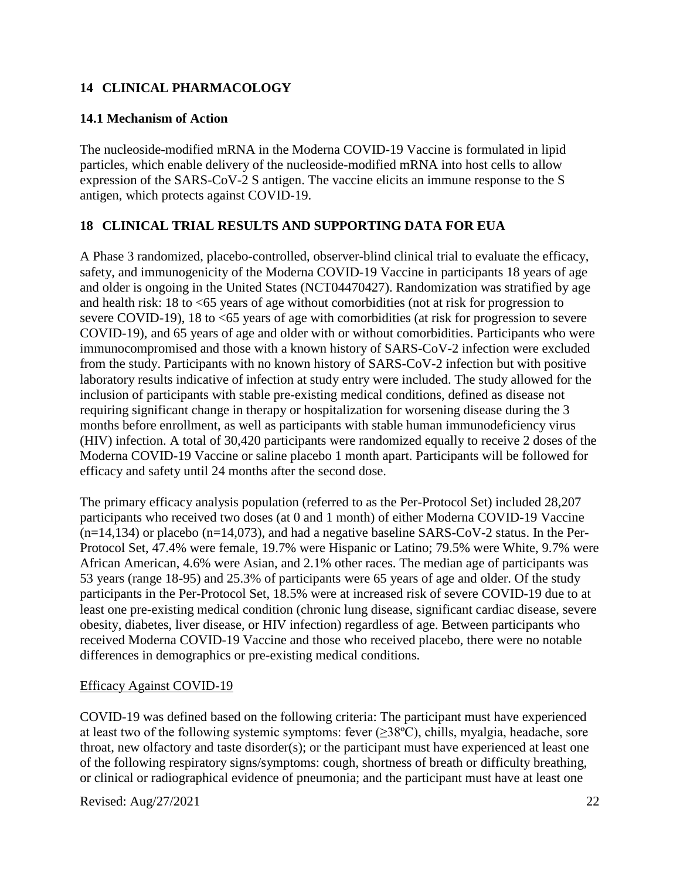## **14 CLINICAL PHARMACOLOGY**

## **14.1 Mechanism of Action**

The nucleoside-modified mRNA in the Moderna COVID-19 Vaccine is formulated in lipid particles, which enable delivery of the nucleoside-modified mRNA into host cells to allow expression of the SARS-CoV-2 S antigen. The vaccine elicits an immune response to the S antigen, which protects against COVID-19.

# **18 CLINICAL TRIAL RESULTS AND SUPPORTING DATA FOR EUA**

A Phase 3 randomized, placebo-controlled, observer-blind clinical trial to evaluate the efficacy, safety, and immunogenicity of the Moderna COVID-19 Vaccine in participants 18 years of age and older is ongoing in the United States (NCT04470427). Randomization was stratified by age and health risk: 18 to <65 years of age without comorbidities (not at risk for progression to severe COVID-19), 18 to <65 years of age with comorbidities (at risk for progression to severe COVID-19), and 65 years of age and older with or without comorbidities. Participants who were immunocompromised and those with a known history of SARS-CoV-2 infection were excluded from the study. Participants with no known history of SARS-CoV-2 infection but with positive laboratory results indicative of infection at study entry were included. The study allowed for the inclusion of participants with stable pre-existing medical conditions, defined as disease not requiring significant change in therapy or hospitalization for worsening disease during the 3 months before enrollment, as well as participants with stable human immunodeficiency virus (HIV) infection. A total of 30,420 participants were randomized equally to receive 2 doses of the Moderna COVID-19 Vaccine or saline placebo 1 month apart. Participants will be followed for efficacy and safety until 24 months after the second dose.

The primary efficacy analysis population (referred to as the Per-Protocol Set) included 28,207 participants who received two doses (at 0 and 1 month) of either Moderna COVID-19 Vaccine  $(n=14,134)$  or placebo  $(n=14,073)$ , and had a negative baseline SARS-CoV-2 status. In the Per-Protocol Set, 47.4% were female, 19.7% were Hispanic or Latino; 79.5% were White, 9.7% were African American, 4.6% were Asian, and 2.1% other races. The median age of participants was 53 years (range 18-95) and 25.3% of participants were 65 years of age and older. Of the study participants in the Per-Protocol Set, 18.5% were at increased risk of severe COVID-19 due to at least one pre-existing medical condition (chronic lung disease, significant cardiac disease, severe obesity, diabetes, liver disease, or HIV infection) regardless of age. Between participants who received Moderna COVID-19 Vaccine and those who received placebo, there were no notable differences in demographics or pre-existing medical conditions.

## Efficacy Against COVID-19

COVID-19 was defined based on the following criteria: The participant must have experienced at least two of the following systemic symptoms: fever  $(\geq 38^{\circ}C)$ , chills, myalgia, headache, sore throat, new olfactory and taste disorder(s); or the participant must have experienced at least one of the following respiratory signs/symptoms: cough, shortness of breath or difficulty breathing, or clinical or radiographical evidence of pneumonia; and the participant must have at least one

Revised: Aug/27/2021 22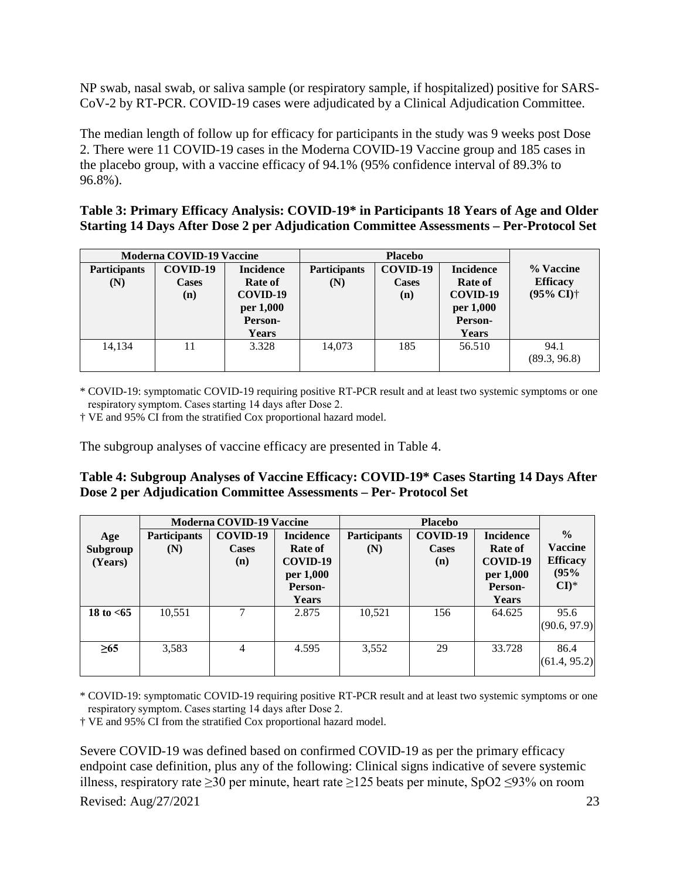NP swab, nasal swab, or saliva sample (or respiratory sample, if hospitalized) positive for SARS-CoV-2 by RT-PCR. COVID-19 cases were adjudicated by a Clinical Adjudication Committee.

The median length of follow up for efficacy for participants in the study was 9 weeks post Dose 2. There were 11 COVID-19 cases in the Moderna COVID-19 Vaccine group and 185 cases in the placebo group, with a vaccine efficacy of 94.1% (95% confidence interval of 89.3% to 96.8%).

| Table 3: Primary Efficacy Analysis: COVID-19 <sup>*</sup> in Participants 18 Years of Age and Older |
|-----------------------------------------------------------------------------------------------------|
| Starting 14 Days After Dose 2 per Adjudication Committee Assessments – Per-Protocol Set             |

| <b>Moderna COVID-19 Vaccine</b> |              | <b>Placebo</b>   |                     |              |                  |                            |
|---------------------------------|--------------|------------------|---------------------|--------------|------------------|----------------------------|
| <b>Participants</b>             | COVID-19     | <b>Incidence</b> | <b>Participants</b> | COVID-19     | <b>Incidence</b> | % Vaccine                  |
| (N)                             | <b>Cases</b> | <b>Rate of</b>   | (N)                 | <b>Cases</b> | Rate of          | <b>Efficacy</b>            |
|                                 | (n)          | COVID-19         |                     | (n)          | COVID-19         | $(95\% \text{ CI})\dagger$ |
|                                 |              | per 1,000        |                     |              | per 1,000        |                            |
|                                 |              | Person-          |                     |              | Person-          |                            |
|                                 |              | <b>Years</b>     |                     |              | Years            |                            |
| 14,134                          | 11           | 3.328            | 14,073              | 185          | 56.510           | 94.1                       |
|                                 |              |                  |                     |              |                  | (89.3, 96.8)               |
|                                 |              |                  |                     |              |                  |                            |

\* COVID-19: symptomatic COVID-19 requiring positive RT-PCR result and at least two systemic symptoms or one respiratory symptom. Cases starting 14 days after Dose 2. 

† VE and 95% CI from the stratified Cox proportional hazard model.

The subgroup analyses of vaccine efficacy are presented in Table 4.

#### **Table 4: Subgroup Analyses of Vaccine Efficacy: COVID-19\* Cases Starting 14 Days After Dose 2 per Adjudication Committee Assessments – Per- Protocol Set**

|                            |                            | <b>Moderna COVID-19 Vaccine</b><br><b>Placebo</b> |                                                                          |                            |                                 |                                                                                 |                                                                          |
|----------------------------|----------------------------|---------------------------------------------------|--------------------------------------------------------------------------|----------------------------|---------------------------------|---------------------------------------------------------------------------------|--------------------------------------------------------------------------|
| Age<br>Subgroup<br>(Years) | <b>Participants</b><br>(N) | COVID-19<br><b>Cases</b><br>(n)                   | <b>Incidence</b><br>Rate of<br>COVID-19<br>per 1,000<br>Person-<br>Years | <b>Participants</b><br>(N) | COVID-19<br><b>Cases</b><br>(n) | <b>Incidence</b><br><b>Rate of</b><br>COVID-19<br>per 1,000<br>Person-<br>Years | $\frac{0}{0}$<br>Vaccine<br><b>Efficacy</b><br>(95%<br>$CI$ <sup>*</sup> |
| 18 to $< 65$               | 10,551                     | ⇁                                                 | 2.875                                                                    | 10,521                     | 156                             | 64.625                                                                          | 95.6<br>(90.6, 97.9)                                                     |
| $\geq 65$                  | 3,583                      | 4                                                 | 4.595                                                                    | 3,552                      | 29                              | 33.728                                                                          | 86.4<br>(61.4, 95.2)                                                     |

\* COVID-19: symptomatic COVID-19 requiring positive RT-PCR result and at least two systemic symptoms or one respiratory symptom. Cases starting 14 days after Dose 2.

† VE and 95% CI from the stratified Cox proportional hazard model.

Severe COVID-19 was defined based on confirmed COVID-19 as per the primary efficacy endpoint case definition, plus any of the following: Clinical signs indicative of severe systemic illness, respiratory rate ≥30 per minute, heart rate ≥125 beats per minute, SpO2 ≤93% on room

Revised: Aug/27/2021 23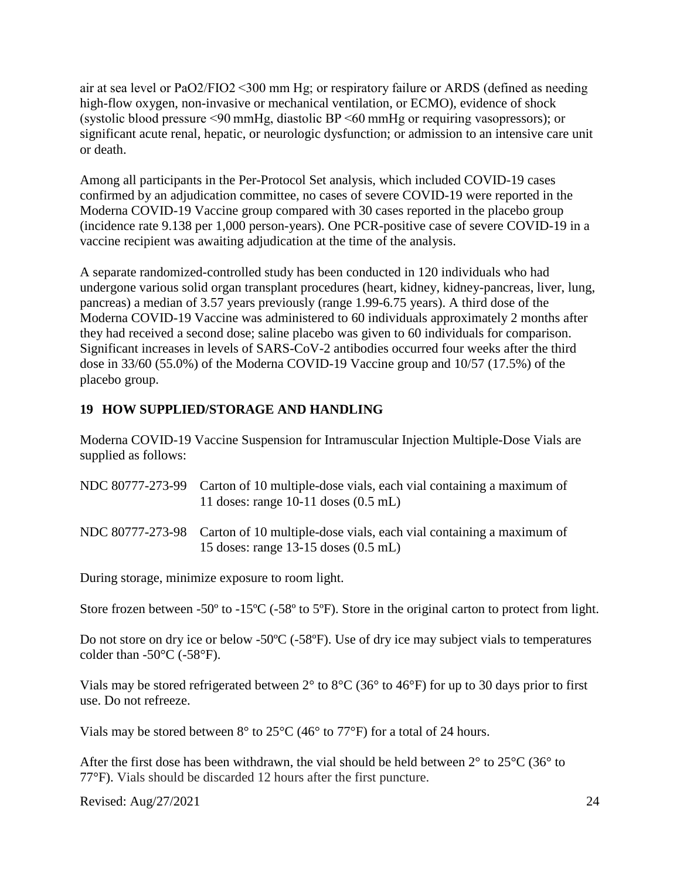air at sea level or PaO2/FIO2 <300 mm Hg; or respiratory failure or ARDS (defined as needing high-flow oxygen, non-invasive or mechanical ventilation, or ECMO), evidence of shock (systolic blood pressure <90 mmHg, diastolic BP <60 mmHg or requiring vasopressors); or significant acute renal, hepatic, or neurologic dysfunction; or admission to an intensive care unit or death.

Among all participants in the Per-Protocol Set analysis, which included COVID-19 cases confirmed by an adjudication committee, no cases of severe COVID-19 were reported in the Moderna COVID-19 Vaccine group compared with 30 cases reported in the placebo group (incidence rate 9.138 per 1,000 person-years). One PCR-positive case of severe COVID-19 in a vaccine recipient was awaiting adjudication at the time of the analysis.

A separate randomized-controlled study has been conducted in 120 individuals who had undergone various solid organ transplant procedures (heart, kidney, kidney-pancreas, liver, lung, pancreas) a median of 3.57 years previously (range 1.99-6.75 years). A third dose of the Moderna COVID-19 Vaccine was administered to 60 individuals approximately 2 months after they had received a second dose; saline placebo was given to 60 individuals for comparison. Significant increases in levels of SARS-CoV-2 antibodies occurred four weeks after the third dose in 33/60 (55.0%) of the Moderna COVID-19 Vaccine group and 10/57 (17.5%) of the placebo group.

## **19 HOW SUPPLIED/STORAGE AND HANDLING**

Moderna COVID-19 Vaccine Suspension for Intramuscular Injection Multiple-Dose Vials are supplied as follows:

| NDC 80777-273-99 Carton of 10 multiple-dose vials, each vial containing a maximum of |
|--------------------------------------------------------------------------------------|
| 11 doses: range $10-11$ doses $(0.5$ mL)                                             |
|                                                                                      |

NDC 80777-273-98 Carton of 10 multiple-dose vials, each vial containing a maximum of 15 doses: range 13-15 doses (0.5 mL)

During storage, minimize exposure to room light.

Store frozen between -50° to -15°C (-58° to 5°F). Store in the original carton to protect from light.

Do not store on dry ice or below -50ºC (-58ºF). Use of dry ice may subject vials to temperatures colder than  $-50^{\circ}$ C ( $-58^{\circ}$ F).

Vials may be stored refrigerated between 2° to 8°C (36° to 46°F) for up to 30 days prior to first use. Do not refreeze.

Vials may be stored between  $8^{\circ}$  to  $25^{\circ}$ C (46 $^{\circ}$  to 77 $^{\circ}$ F) for a total of 24 hours.

After the first dose has been withdrawn, the vial should be held between  $2^{\circ}$  to  $25^{\circ}$ C (36° to 77°F). Vials should be discarded 12 hours after the first puncture.

Revised: Aug/27/2021 24